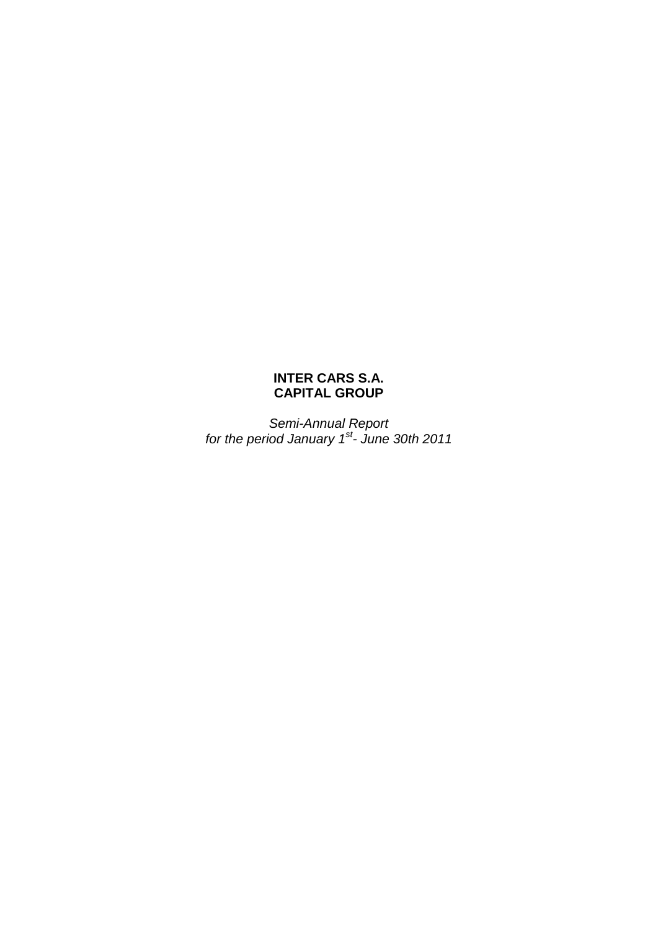# **INTER CARS S.A. CAPITAL GROUP**

*Semi-Annual Report for the period January 1st - June 30th 2011*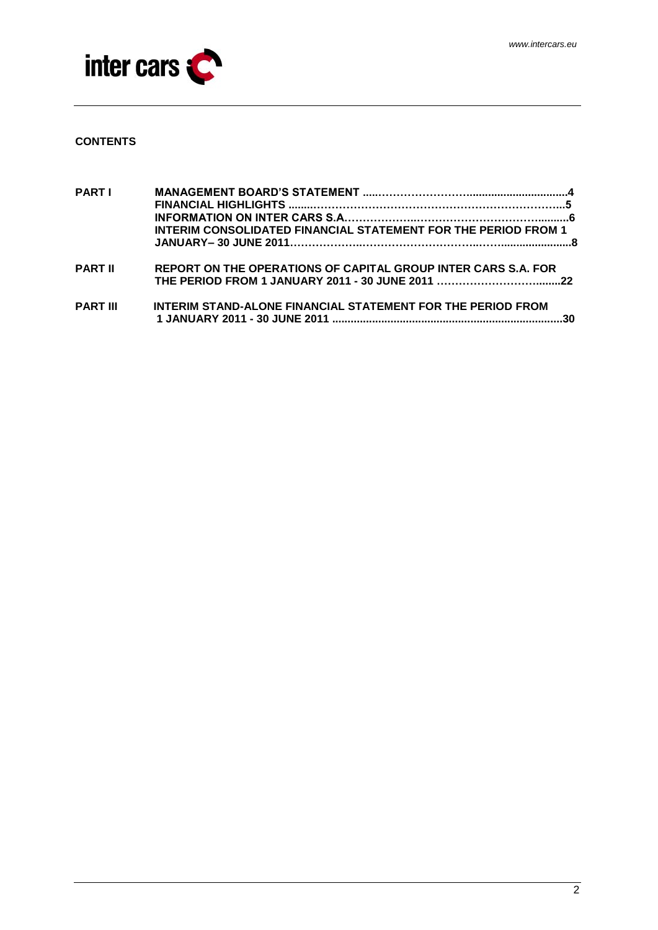

# **CONTENTS**

| <b>PART I</b>   |                                                                       |  |
|-----------------|-----------------------------------------------------------------------|--|
|                 | <b>INTERIM CONSOLIDATED FINANCIAL STATEMENT FOR THE PERIOD FROM 1</b> |  |
| <b>PART II</b>  | REPORT ON THE OPERATIONS OF CAPITAL GROUP INTER CARS S.A. FOR         |  |
| <b>PART III</b> | INTERIM STAND-ALONE FINANCIAL STATEMENT FOR THE PERIOD FROM           |  |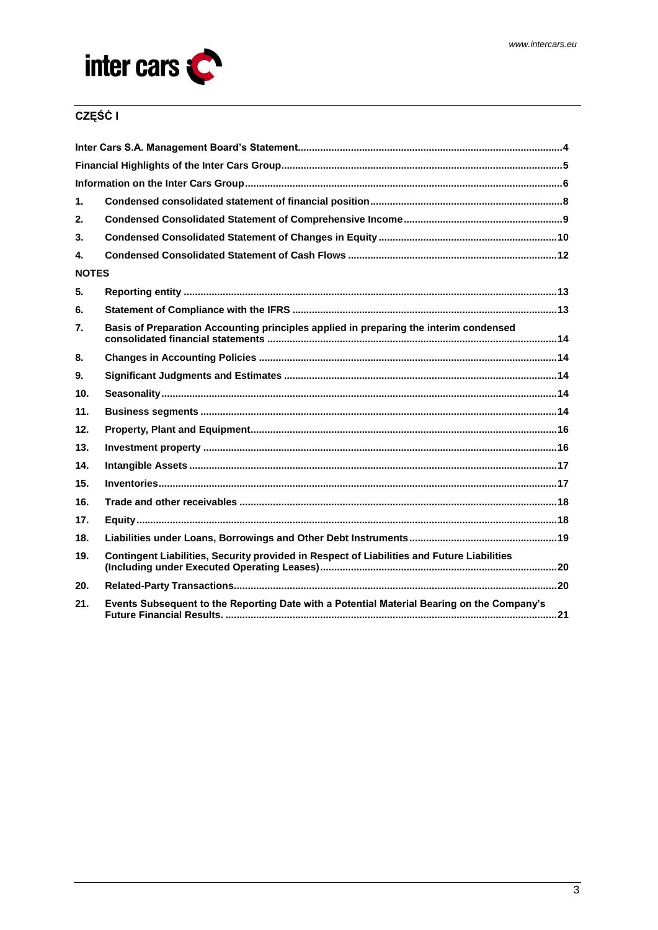

# CZĘŚĆ I

| 1.              |                                                                                            |
|-----------------|--------------------------------------------------------------------------------------------|
| 2.              |                                                                                            |
| 3.              |                                                                                            |
| 4.              |                                                                                            |
| <b>NOTES</b>    |                                                                                            |
| 5.              |                                                                                            |
| 6.              |                                                                                            |
| 7.              | Basis of Preparation Accounting principles applied in preparing the interim condensed      |
| 8.              |                                                                                            |
| 9.              |                                                                                            |
| 10 <sub>1</sub> |                                                                                            |
| 11.             |                                                                                            |
| 12.             |                                                                                            |
| 13.             |                                                                                            |
| 14.             |                                                                                            |
| 15.             |                                                                                            |
| 16.             |                                                                                            |
| 17.             |                                                                                            |
| 18.             |                                                                                            |
| 19.             | Contingent Liabilities, Security provided in Respect of Liabilities and Future Liabilities |
| 20.             |                                                                                            |
| 21.             | Events Subsequent to the Reporting Date with a Potential Material Bearing on the Company's |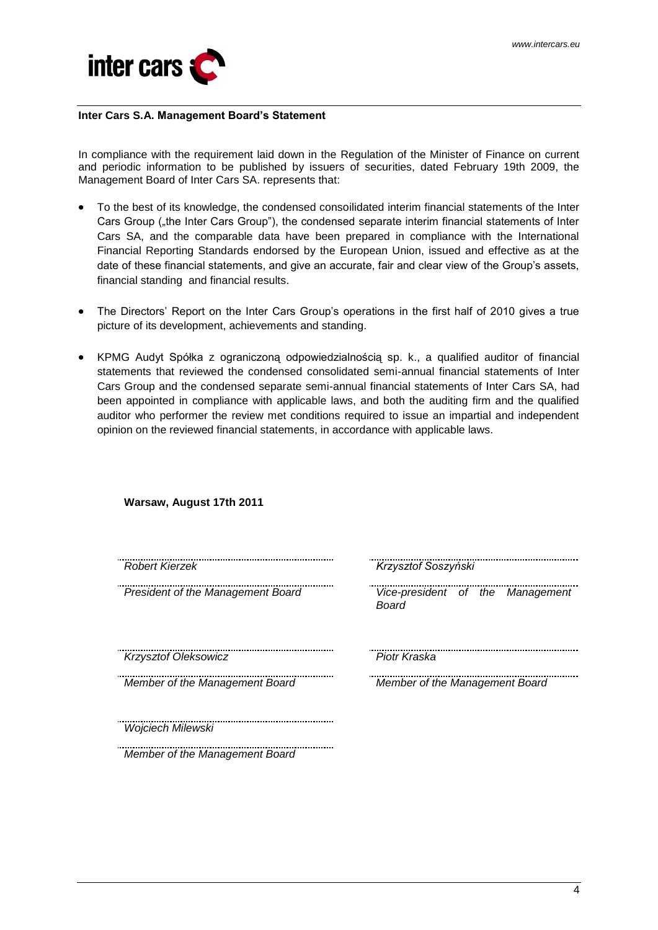

#### <span id="page-3-0"></span>**Inter Cars S.A. Management Board's Statement**

In compliance with the requirement laid down in the Regulation of the Minister of Finance on current and periodic information to be published by issuers of securities, dated February 19th 2009, the Management Board of Inter Cars SA. represents that:

- To the best of its knowledge, the condensed consoilidated interim financial statements of the Inter Cars Group ("the Inter Cars Group"), the condensed separate interim financial statements of Inter Cars SA, and the comparable data have been prepared in compliance with the International Financial Reporting Standards endorsed by the European Union, issued and effective as at the date of these financial statements, and give an accurate, fair and clear view of the Group's assets, financial standing and financial results.
- The Directors' Report on the Inter Cars Group's operations in the first half of 2010 gives a true  $\bullet$ picture of its development, achievements and standing.
- KPMG Audyt Spółka z ograniczoną odpowiedzialnością sp. k., a qualified auditor of financial statements that reviewed the condensed consolidated semi-annual financial statements of Inter Cars Group and the condensed separate semi-annual financial statements of Inter Cars SA, had been appointed in compliance with applicable laws, and both the auditing firm and the qualified auditor who performer the review met conditions required to issue an impartial and independent opinion on the reviewed financial statements, in accordance with applicable laws.

| Warsaw, August 17th 2011          |                                                  |
|-----------------------------------|--------------------------------------------------|
| <b>Robert Kierzek</b>             | Krzysztof Soszyński                              |
| President of the Management Board | Vice-president of the Management<br><b>Board</b> |
| Krzysztof Oleksowicz              | Piotr Kraska                                     |
| Member of the Management Board    | Member of the Management Board                   |
| Wojciech Milewski                 |                                                  |
| Member of the Management Board    |                                                  |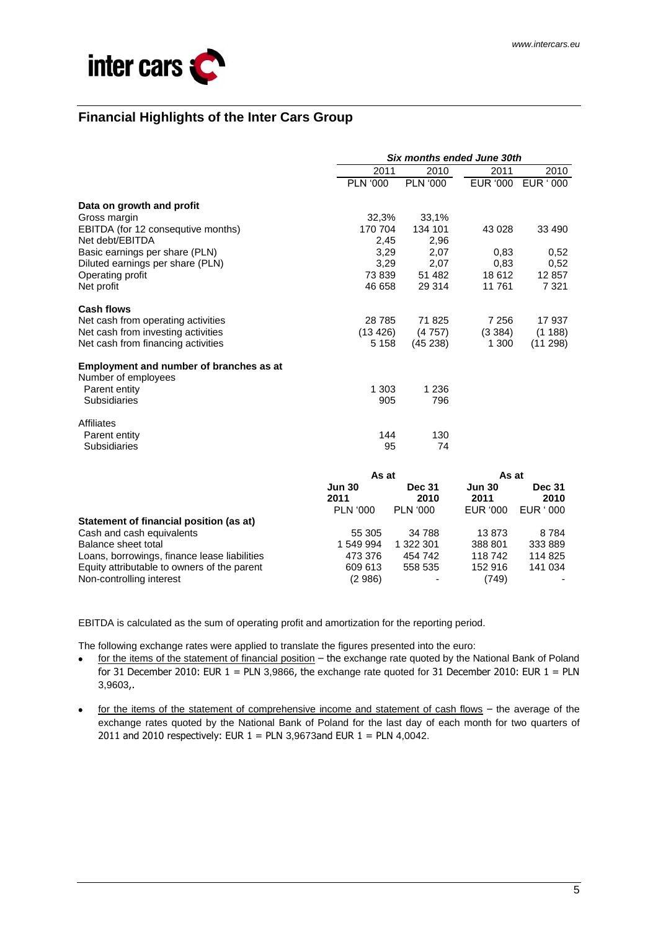

# <span id="page-4-0"></span>**Financial Highlights of the Inter Cars Group**

|                                              | <b>Six months ended June 30th</b> |                       |                       |                       |  |  |
|----------------------------------------------|-----------------------------------|-----------------------|-----------------------|-----------------------|--|--|
|                                              | 2011                              | 2010                  | 2011                  | 2010                  |  |  |
|                                              | <b>PLN '000</b>                   | <b>PLN '000</b>       | EUR '000              | EUR ' 000             |  |  |
| Data on growth and profit                    |                                   |                       |                       |                       |  |  |
| Gross margin                                 | 32,3%                             | 33,1%                 |                       |                       |  |  |
| EBITDA (for 12 consequtive months)           | 170 704                           | 134 101               | 43 0 28               | 33 490                |  |  |
| Net debt/EBITDA                              | 2,45                              | 2,96                  |                       |                       |  |  |
| Basic earnings per share (PLN)               | 3,29                              | 2,07                  | 0,83                  | 0,52                  |  |  |
| Diluted earnings per share (PLN)             | 3,29                              | 2,07                  | 0,83                  | 0,52                  |  |  |
| Operating profit                             | 73839                             | 51 482                | 18612                 | 12 857                |  |  |
| Net profit                                   | 46 658                            | 29 314                | 11761                 | 7 3 2 1               |  |  |
| <b>Cash flows</b>                            |                                   |                       |                       |                       |  |  |
| Net cash from operating activities           | 28 7 85                           | 71825                 | 7 2 5 6               | 17 937                |  |  |
| Net cash from investing activities           | (13 426)                          | (4757)                | (3384)                | (1188)                |  |  |
| Net cash from financing activities           | 5 1 5 8                           | (45238)               | 1 300                 | (11 298)              |  |  |
| Employment and number of branches as at      |                                   |                       |                       |                       |  |  |
| Number of employees                          |                                   |                       |                       |                       |  |  |
| Parent entity                                | 1 3 0 3                           | 1 2 3 6               |                       |                       |  |  |
| <b>Subsidiaries</b>                          | 905                               | 796                   |                       |                       |  |  |
| <b>Affiliates</b>                            |                                   |                       |                       |                       |  |  |
| Parent entity                                | 144                               | 130                   |                       |                       |  |  |
| <b>Subsidiaries</b>                          | 95                                | 74                    |                       |                       |  |  |
|                                              | As at                             |                       | As at                 |                       |  |  |
|                                              | <b>Jun 30</b><br>2011             | <b>Dec 31</b><br>2010 | <b>Jun 30</b><br>2011 | <b>Dec 31</b><br>2010 |  |  |
|                                              | <b>PLN '000</b>                   | <b>PLN '000</b>       | EUR '000              | EUR ' 000             |  |  |
| Statement of financial position (as at)      |                                   |                       |                       |                       |  |  |
| Cash and cash equivalents                    | 55 305                            | 34 788                | 13873                 | 8784                  |  |  |
| Balance sheet total                          | 1 549 994                         | 1 322 301             | 388 801               | 333 889               |  |  |
| Loans, borrowings, finance lease liabilities | 473 376                           | 454 742               | 118 742               | 114 825               |  |  |
| Equity attributable to owners of the parent  | 609 613                           | 558 535               | 152 916               | 141 034               |  |  |
| Non-controlling interest                     | (2986)                            |                       | (749)                 |                       |  |  |

EBITDA is calculated as the sum of operating profit and amortization for the reporting period.

The following exchange rates were applied to translate the figures presented into the euro:

- for the items of the statement of financial position the exchange rate quoted by the National Bank of Poland  $\bullet$ for 31 December 2010: EUR  $1 = PLN$  3,9866, the exchange rate quoted for 31 December 2010: EUR  $1 = PLN$ 3,9603,.
- for the items of the statement of comprehensive income and statement of cash flows the average of the exchange rates quoted by the National Bank of Poland for the last day of each month for two quarters of 2011 and 2010 respectively: EUR  $1$  = PLN 3,9673 and EUR  $1$  = PLN 4,0042.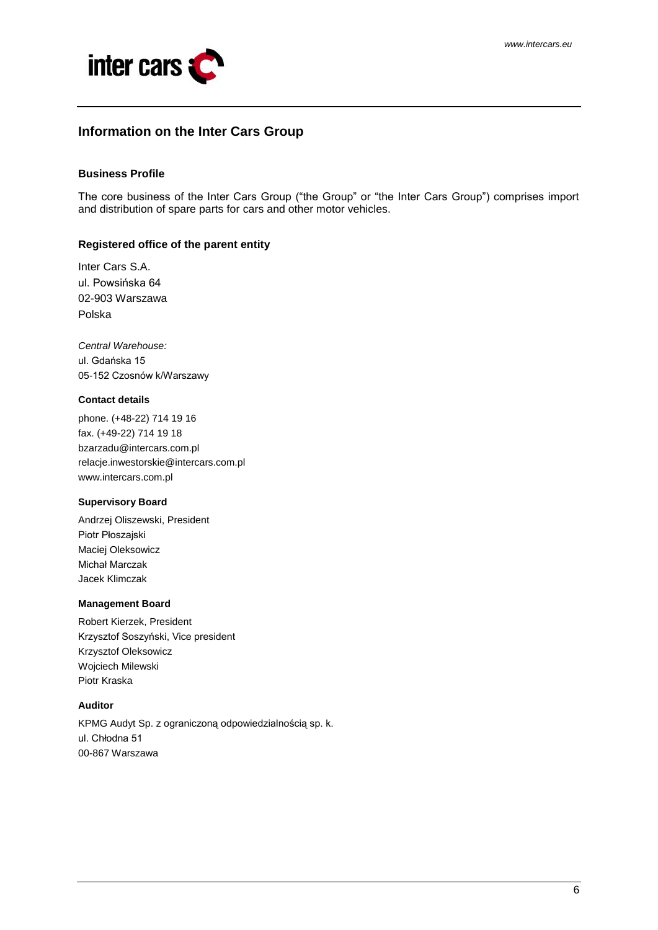

# <span id="page-5-0"></span>**Information on the Inter Cars Group**

#### **Business Profile**

The core business of the Inter Cars Group ("the Group" or "the Inter Cars Group") comprises import and distribution of spare parts for cars and other motor vehicles.

### **Registered office of the parent entity**

Inter Cars S.A. ul. Powsińska 64 02-903 Warszawa Polska

*Central Warehouse:* ul. Gdańska 15 05-152 Czosnów k/Warszawy

#### **Contact details**

phone. (+48-22) 714 19 16 fax. (+49-22) 714 19 18 bzarzadu@intercars.com.pl relacje.inwestorskie@intercars.com.pl www.intercars.com.pl

#### **Supervisory Board**

Andrzej Oliszewski, President Piotr Płoszajski Maciej Oleksowicz Michał Marczak Jacek Klimczak

#### **Management Board**

Robert Kierzek, President Krzysztof Soszyński, Vice president Krzysztof Oleksowicz Wojciech Milewski Piotr Kraska

### **Auditor**

KPMG Audyt Sp. z ograniczoną odpowiedzialnością sp. k. ul. Chłodna 51 00-867 Warszawa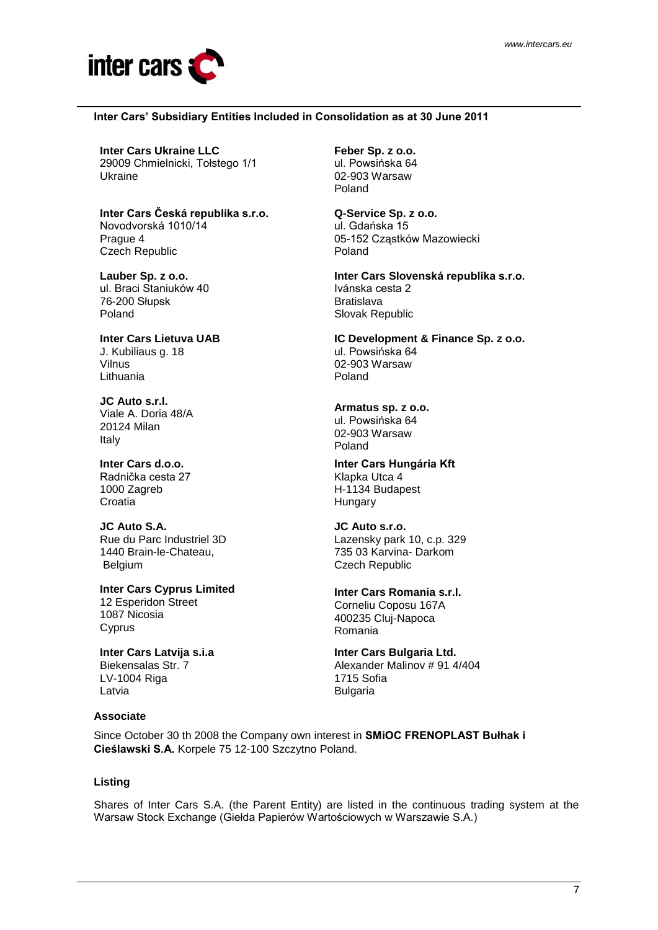

#### **Inter Cars' Subsidiary Entities Included in Consolidation as at 30 June 2011**

**Inter Cars Ukraine LLC** 29009 Chmielnicki, Tołstego 1/1 Ukraine

**Inter Cars Česká republika s.r.o.** Novodvorská 1010/14 Prague 4 Czech Republic

**Lauber Sp. z o.o.**  ul. Braci Staniuków 40 76-200 Słupsk Poland

**Inter Cars Lietuva UAB** J. Kubiliaus g. 18 Vilnus Lithuania

**JC Auto s.r.l.** Viale A. Doria 48/A 20124 Milan Italy

**Inter Cars d.o.o.**  Radnička cesta 27 1000 Zagreb **Croatia** 

**JC Auto S.A.**  Rue du Parc Industriel 3D 1440 Brain-le-Chateau, Belgium

**Inter Cars Cyprus Limited** 12 Esperidon Street 1087 Nicosia **Cyprus** 

**Inter Cars Latvija s.i.a** Biekensalas Str. 7 LV-1004 Riga Latvia

#### **Associate**

**Feber Sp. z o.o.** ul. Powsińska 64 02-903 Warsaw Poland

**Q-Service Sp. z o.o.** ul. Gdańska 15 05-152 Cząstków Mazowiecki Poland

**Inter Cars Slovenská republika s.r.o.** Ivánska cesta 2 Bratislava Slovak Republic

**IC Development & Finance Sp. z o.o.**  ul. Powsińska 64 02-903 Warsaw Poland

# **Armatus sp. z o.o.**

ul. Powsińska 64 02-903 Warsaw Poland

**Inter Cars Hungária Kft** Klapka Utca 4 H-1134 Budapest Hungary

**JC Auto s.r.o.** Lazensky park 10, c.p. 329 735 03 Karvina- Darkom Czech Republic

**Inter Cars Romania s.r.l.** Corneliu Coposu 167A 400235 Cluj-Napoca Romania

**Inter Cars Bulgaria Ltd.** Alexander Malinov # 91 4/404 1715 Sofia

Since October 30 th 2008 the Company own interest in **SMiOC FRENOPLAST Bułhak i Cieślawski S.A.** Korpele 75 12-100 Szczytno Poland.

### **Listing**

Shares of Inter Cars S.A. (the Parent Entity) are listed in the continuous trading system at the Warsaw Stock Exchange (Giełda Papierów Wartościowych w Warszawie S.A.)

Bulgaria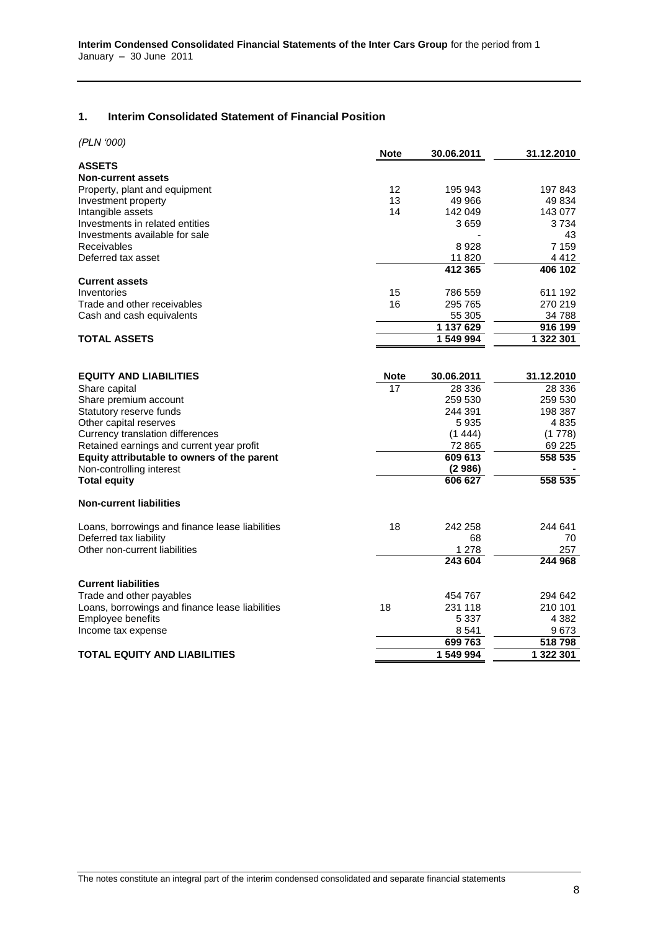# <span id="page-7-0"></span>**1. Interim Consolidated Statement of Financial Position**

| (PLN '000) |  |
|------------|--|
|------------|--|

|                                                 | <b>Note</b> | 30.06.2011       | 31.12.2010     |
|-------------------------------------------------|-------------|------------------|----------------|
| <b>ASSETS</b>                                   |             |                  |                |
| <b>Non-current assets</b>                       |             |                  |                |
| Property, plant and equipment                   | 12          | 195 943          | 197843         |
| Investment property                             | 13          | 49 966           | 49 834         |
| Intangible assets                               | 14          | 142 049          | 143 077        |
| Investments in related entities                 |             | 3659             | 3 7 3 4        |
| Investments available for sale                  |             |                  | 43             |
| <b>Receivables</b>                              |             | 8928             | 7 1 5 9        |
| Deferred tax asset                              |             | 11 820           | 4 4 1 2        |
|                                                 |             | 412 365          | 406 102        |
| <b>Current assets</b>                           |             |                  |                |
| Inventories                                     | 15          | 786 559          | 611 192        |
| Trade and other receivables                     | 16          | 295 765          | 270 219        |
| Cash and cash equivalents                       |             | 55 305           | 34 788         |
|                                                 |             | 1 137 629        | 916 199        |
| <b>TOTAL ASSETS</b>                             |             | 1 549 994        | 1 322 301      |
|                                                 |             |                  |                |
| <b>EQUITY AND LIABILITIES</b>                   | <b>Note</b> | 30.06.2011       | 31.12.2010     |
| Share capital                                   | 17          | 28 336           | 28 336         |
| Share premium account                           |             | 259 530          | 259 530        |
| Statutory reserve funds                         |             | 244 391          | 198 387        |
| Other capital reserves                          |             | 5935             | 4835           |
| Currency translation differences                |             | (1444)           | (1778)         |
| Retained earnings and current year profit       |             | 72 865           | 69 2 25        |
| Equity attributable to owners of the parent     |             | 609 613          | 558 535        |
| Non-controlling interest                        |             | (2986)           |                |
| <b>Total equity</b>                             |             | 606 627          | 558 535        |
| <b>Non-current liabilities</b>                  |             |                  |                |
|                                                 |             |                  |                |
| Loans, borrowings and finance lease liabilities | 18          | 242 258          | 244 641        |
| Deferred tax liability                          |             | 68               | 70             |
| Other non-current liabilities                   |             | 1 278<br>243 604 | 257<br>244 968 |
|                                                 |             |                  |                |
| <b>Current liabilities</b>                      |             |                  |                |
| Trade and other payables                        |             | 454 767          | 294 642        |
| Loans, borrowings and finance lease liabilities | 18          | 231 118          | 210 101        |
| Employee benefits                               |             | 5 337            | 4 3 8 2        |
| Income tax expense                              |             | 8 5 4 1          | 9673           |
|                                                 |             | 699 763          | 518798         |
| <b>TOTAL EQUITY AND LIABILITIES</b>             |             | 1 549 994        | 1 322 301      |
|                                                 |             |                  |                |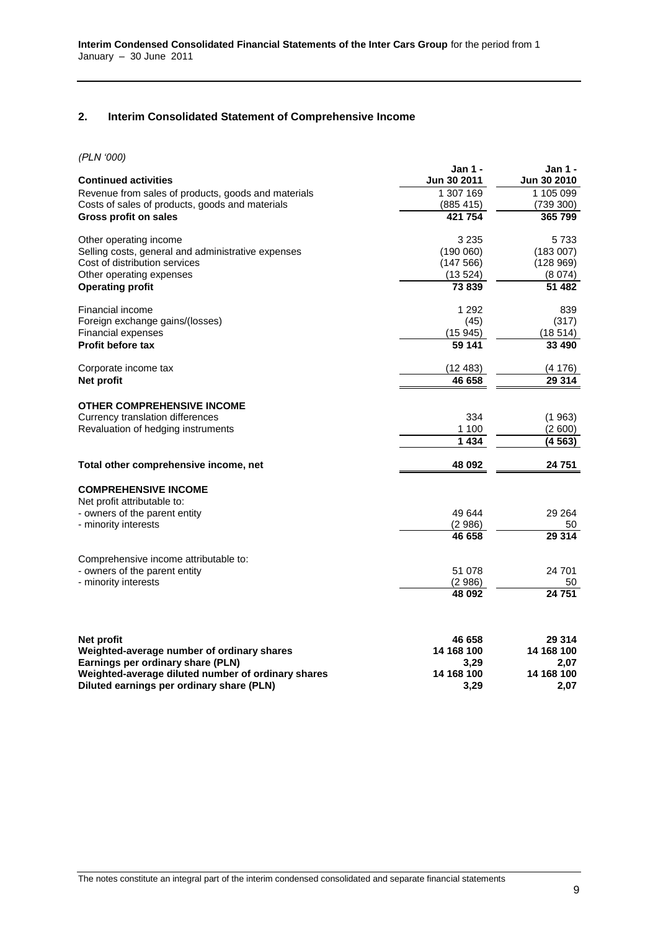# <span id="page-8-0"></span>**2. Interim Consolidated Statement of Comprehensive Income**

*(PLN '000)*

| [FLIV~UUV]<br><b>Continued activities</b>                                       | <b>Jan 1 -</b><br>Jun 30 2011 | Jan 1 -<br>Jun 30 2010 |
|---------------------------------------------------------------------------------|-------------------------------|------------------------|
| Revenue from sales of products, goods and materials                             | 1 307 169                     | 1 105 099              |
| Costs of sales of products, goods and materials                                 | (885 415)                     | (739 300)              |
| Gross profit on sales                                                           | 421 754                       | 365 799                |
| Other operating income                                                          | 3 2 3 5                       | 5733                   |
| Selling costs, general and administrative expenses                              | (190060)                      | (183007)               |
| Cost of distribution services                                                   | (147566)                      | (128969)               |
| Other operating expenses                                                        | (13524)                       | (8074)                 |
| <b>Operating profit</b>                                                         | 73 839                        | 51 482                 |
| Financial income                                                                | 1 2 9 2                       | 839                    |
| Foreign exchange gains/(losses)                                                 | (45)                          | (317)                  |
| <b>Financial expenses</b>                                                       | (15945)                       | (18514)                |
| <b>Profit before tax</b>                                                        | 59 141                        | 33 490                 |
| Corporate income tax                                                            | (12483)                       | (4176)                 |
| Net profit                                                                      | 46 658                        | 29 314                 |
| <b>OTHER COMPREHENSIVE INCOME</b>                                               |                               |                        |
| Currency translation differences                                                | 334                           | (1963)                 |
| Revaluation of hedging instruments                                              | 1 100                         | (2600)                 |
|                                                                                 | 1434                          | (4563)                 |
| Total other comprehensive income, net                                           | 48 092                        | 24 751                 |
| <b>COMPREHENSIVE INCOME</b>                                                     |                               |                        |
| Net profit attributable to:                                                     |                               |                        |
| - owners of the parent entity                                                   | 49 644                        | 29 264                 |
| - minority interests                                                            | (2986)                        | 50                     |
|                                                                                 | 46 658                        | 29 314                 |
| Comprehensive income attributable to:                                           |                               |                        |
| - owners of the parent entity                                                   | 51 078                        | 24 701                 |
| - minority interests                                                            | (2986)                        | 50                     |
|                                                                                 | 48 092                        | 24 751                 |
|                                                                                 |                               |                        |
| Net profit                                                                      | 46 658                        | 29 314                 |
| Weighted-average number of ordinary shares<br>Earnings per ordinary share (PLN) | 14 168 100<br>3,29            | 14 168 100<br>2,07     |
| Weighted-average diluted number of ordinary shares                              | 14 168 100                    | 14 168 100             |
| Diluted earnings per ordinary share (PLN)                                       | 3.29                          | 2.07                   |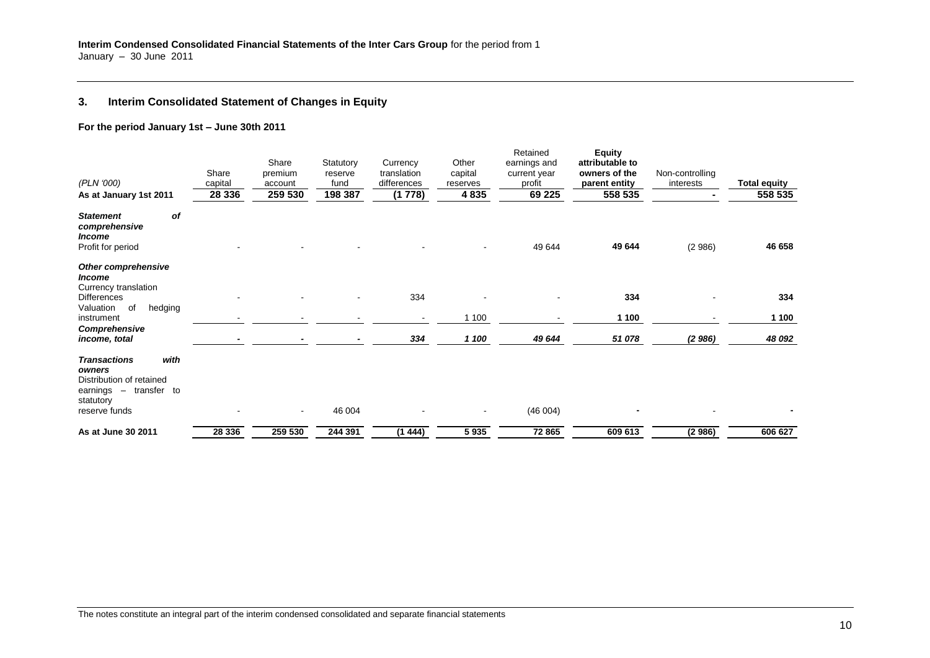# **3. Interim Consolidated Statement of Changes in Equity**

#### **For the period January 1st – June 30th 2011**

<span id="page-9-0"></span>

| (PLN '000)<br>As at January 1st 2011                                                                                                       | Share<br>capital<br>28 3 36 | Share<br>premium<br>account<br>259 530 | Statutory<br>reserve<br>fund<br>198 387 | Currency<br>translation<br>differences<br>(1778) | Other<br>capital<br>reserves<br>4835 | Retained<br>earnings and<br>current year<br>profit<br>69 2 25 | <b>Equity</b><br>attributable to<br>owners of the<br>parent entity<br>558 535 | Non-controlling<br>interests | Total equity<br>558 535 |
|--------------------------------------------------------------------------------------------------------------------------------------------|-----------------------------|----------------------------------------|-----------------------------------------|--------------------------------------------------|--------------------------------------|---------------------------------------------------------------|-------------------------------------------------------------------------------|------------------------------|-------------------------|
| of<br><b>Statement</b><br>comprehensive<br><i><b>Income</b></i><br>Profit for period                                                       |                             |                                        |                                         |                                                  |                                      | 49 644                                                        | 49 644                                                                        | (2986)                       | 46 658                  |
| <b>Other comprehensive</b><br><i><b>Income</b></i><br>Currency translation<br><b>Differences</b>                                           |                             |                                        |                                         | 334                                              |                                      |                                                               | 334                                                                           |                              | 334                     |
| hedging<br>of<br>Valuation<br>instrument<br>Comprehensive                                                                                  |                             |                                        |                                         | $\blacksquare$                                   | 1 100                                |                                                               | 1 100                                                                         |                              | 1 100                   |
| income, total<br>with<br><b>Transactions</b><br>owners<br>Distribution of retained<br>earnings - transfer to<br>statutory<br>reserve funds |                             | $\sim$                                 | 46 004                                  | 334                                              | 1 100                                | 49 644<br>(46004)                                             | 51078                                                                         | (2986)                       | 48 092                  |
| As at June 30 2011                                                                                                                         | 28 336                      | 259 530                                | 244 391                                 | (1444)                                           | 5935                                 | 72 865                                                        | 609 613                                                                       | (2986)                       | 606 627                 |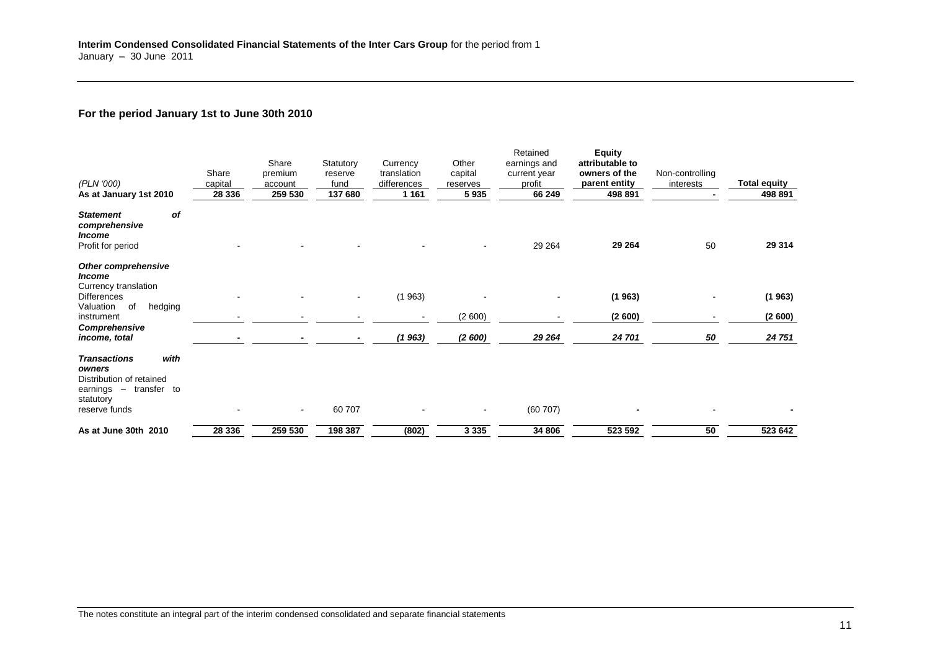# **For the period January 1st to June 30th 2010**

| (PLN '000)<br>As at January 1st 2010                                                                                      | Share<br>capital<br>28 336 | Share<br>premium<br>account<br>259 530 | Statutory<br>reserve<br>fund<br>137 680 | Currency<br>translation<br>differences<br>1 1 6 1 | Other<br>capital<br>reserves<br>5935 | Retained<br>earnings and<br>current year<br>profit<br>66 249 | <b>Equity</b><br>attributable to<br>owners of the<br>parent entity<br>498 891 | Non-controlling<br>interests | <b>Total equity</b><br>498 891 |
|---------------------------------------------------------------------------------------------------------------------------|----------------------------|----------------------------------------|-----------------------------------------|---------------------------------------------------|--------------------------------------|--------------------------------------------------------------|-------------------------------------------------------------------------------|------------------------------|--------------------------------|
| of<br><b>Statement</b><br>comprehensive<br><b>Income</b><br>Profit for period                                             |                            |                                        |                                         |                                                   |                                      | 29 264                                                       | 29 264                                                                        | 50                           | 29 314                         |
| <b>Other comprehensive</b><br><i><b>Income</b></i>                                                                        |                            |                                        |                                         |                                                   |                                      |                                                              |                                                                               |                              |                                |
| Currency translation<br><b>Differences</b><br>hedging<br>of<br>Valuation                                                  |                            |                                        | $\blacksquare$                          | (1963)                                            |                                      |                                                              | (1963)                                                                        |                              | (1963)                         |
| instrument<br>Comprehensive                                                                                               |                            |                                        |                                         |                                                   | (2600)                               |                                                              | (2600)                                                                        |                              | (2600)                         |
| income, total                                                                                                             |                            |                                        |                                         | (1963)                                            | (2600)                               | 29 264                                                       | 24 701                                                                        | 50                           | 24 751                         |
| with<br><b>Transactions</b><br>owners<br>Distribution of retained<br>earnings - transfer to<br>statutory<br>reserve funds |                            | $\sim$                                 | 60 707                                  |                                                   | $\overline{\phantom{a}}$             | (60707)                                                      |                                                                               |                              |                                |
| As at June 30th 2010                                                                                                      | 28 336                     | 259 530                                | 198 387                                 | (802)                                             | 3 3 3 5                              | 34 806                                                       | 523 592                                                                       | 50                           | 523 642                        |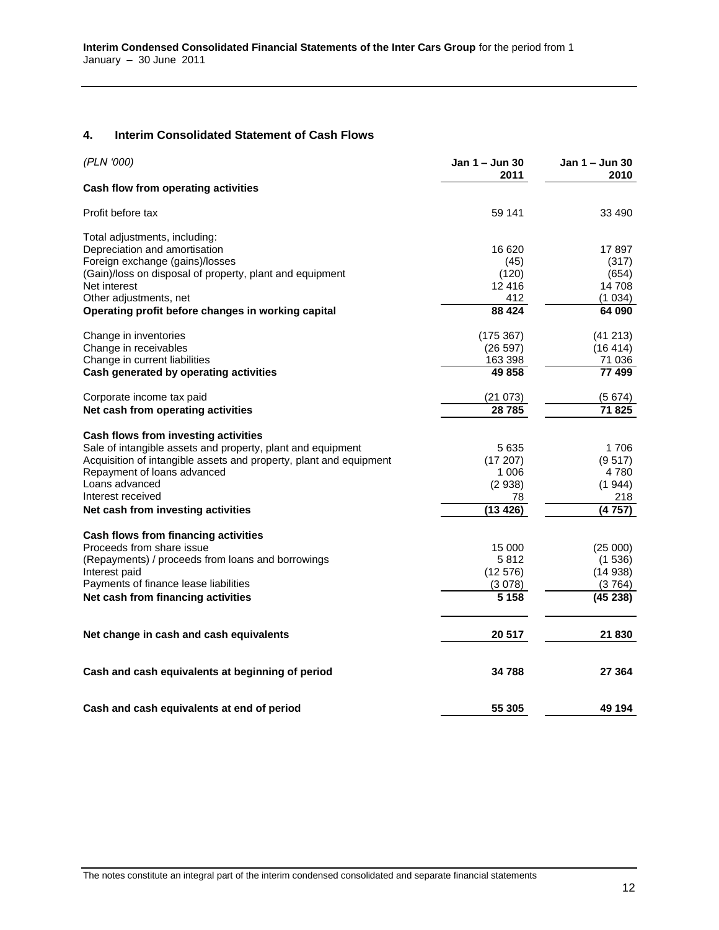#### **4. Interim Consolidated Statement of Cash Flows**

<span id="page-11-0"></span>

| (PLN '000)                                                         | Jan 1 – Jun 30<br>2011 | Jan 1 – Jun 30<br>2010 |
|--------------------------------------------------------------------|------------------------|------------------------|
| Cash flow from operating activities                                |                        |                        |
| Profit before tax                                                  | 59 141                 | 33 490                 |
| Total adjustments, including:                                      |                        |                        |
| Depreciation and amortisation                                      | 16 620                 | 17897                  |
| Foreign exchange (gains)/losses                                    | (45)                   | (317)                  |
| (Gain)/loss on disposal of property, plant and equipment           | (120)                  | (654)                  |
| Net interest                                                       | 12 4 16                | 14 708                 |
| Other adjustments, net                                             | 412                    | (1034)                 |
| Operating profit before changes in working capital                 | 88 4 24                | 64 090                 |
| Change in inventories                                              | (175.367)              | (41213)                |
| Change in receivables                                              | (26 597)               | (16 414)               |
| Change in current liabilities                                      | 163 398                | 71 036                 |
| Cash generated by operating activities                             | 49 858                 | 77 499                 |
| Corporate income tax paid                                          | (21073)                | (5674)                 |
| Net cash from operating activities                                 | 28785                  | 71825                  |
| Cash flows from investing activities                               |                        |                        |
| Sale of intangible assets and property, plant and equipment        | 5635                   | 1706                   |
| Acquisition of intangible assets and property, plant and equipment | (17207)                | (9517)                 |
| Repayment of loans advanced                                        | 1 0 0 6                | 4 780                  |
| Loans advanced                                                     | (2938)                 | (1944)                 |
| Interest received                                                  | 78                     | 218                    |
| Net cash from investing activities                                 | (13 426)               | (4757)                 |
| Cash flows from financing activities                               |                        |                        |
| Proceeds from share issue                                          | 15 000                 | (25000)                |
| (Repayments) / proceeds from loans and borrowings                  | 5812                   | (1536)                 |
| Interest paid                                                      | (12576)                | (14938)                |
| Payments of finance lease liabilities                              | (3078)                 | (3764)                 |
| Net cash from financing activities                                 | 5 1 5 8                | (45238)                |
| Net change in cash and cash equivalents                            | 20 517                 | 21 830                 |
|                                                                    |                        |                        |
| Cash and cash equivalents at beginning of period                   | 34 788                 | 27 364                 |
| Cash and cash equivalents at end of period                         | 55 305                 | 49 194                 |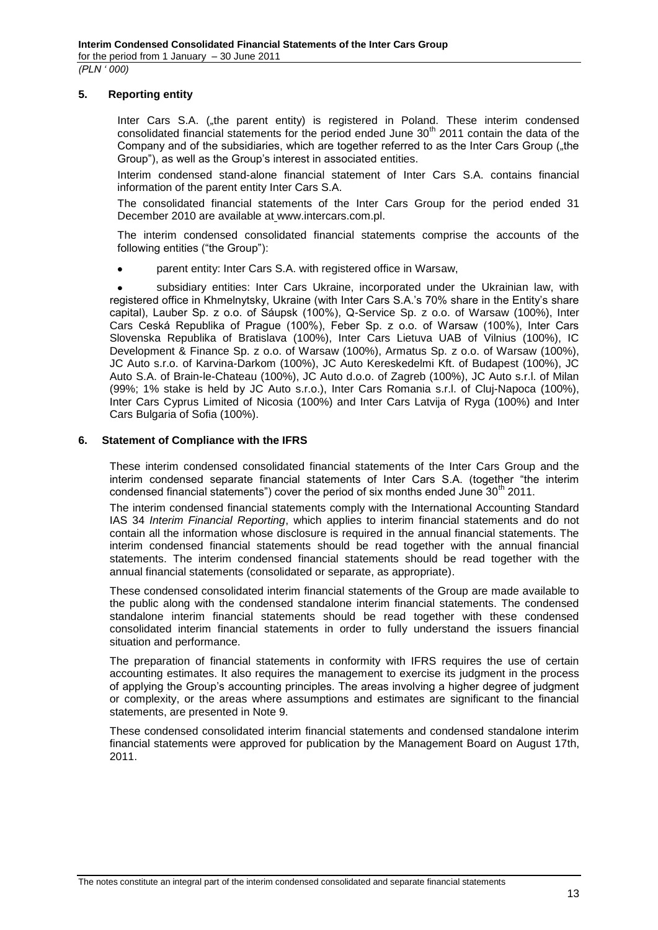### <span id="page-12-0"></span>**5. Reporting entity**

Inter Cars S.A. (.the parent entity) is registered in Poland. These interim condensed consolidated financial statements for the period ended June  $30<sup>th</sup>$  2011 contain the data of the Company and of the subsidiaries, which are together referred to as the Inter Cars Group (.the Group"), as well as the Group's interest in associated entities.

Interim condensed stand-alone financial statement of Inter Cars S.A. contains financial information of the parent entity Inter Cars S.A.

The consolidated financial statements of the Inter Cars Group for the period ended 31 December 2010 are available at www.intercars.com.pl.

The interim condensed consolidated financial statements comprise the accounts of the following entities ("the Group"):

parent entity: Inter Cars S.A. with registered office in Warsaw,

subsidiary entities: Inter Cars Ukraine, incorporated under the Ukrainian law, with registered office in Khmelnytsky, Ukraine (with Inter Cars S.A.'s 70% share in the Entity's share capital), Lauber Sp. z o.o. of Sáupsk (100%), Q-Service Sp. z o.o. of Warsaw (100%), Inter Cars Ceská Republika of Prague (100%), Feber Sp. z o.o. of Warsaw (100%), Inter Cars Slovenska Republika of Bratislava (100%), Inter Cars Lietuva UAB of Vilnius (100%), IC Development & Finance Sp. z o.o. of Warsaw (100%), Armatus Sp. z o.o. of Warsaw (100%), JC Auto s.r.o. of Karvina-Darkom (100%), JC Auto Kereskedelmi Kft. of Budapest (100%), JC Auto S.A. of Brain-le-Chateau (100%), JC Auto d.o.o. of Zagreb (100%), JC Auto s.r.l. of Milan (99%; 1% stake is held by JC Auto s.r.o.), Inter Cars Romania s.r.l. of Cluj-Napoca (100%), Inter Cars Cyprus Limited of Nicosia (100%) and Inter Cars Latvija of Ryga (100%) and Inter Cars Bulgaria of Sofia (100%).

#### <span id="page-12-1"></span>**6. Statement of Compliance with the IFRS**

These interim condensed consolidated financial statements of the Inter Cars Group and the interim condensed separate financial statements of Inter Cars S.A. (together "the interim condensed financial statements") cover the period of six months ended June  $30<sup>th</sup>$  2011.

The interim condensed financial statements comply with the International Accounting Standard IAS 34 *Interim Financial Reporting*, which applies to interim financial statements and do not contain all the information whose disclosure is required in the annual financial statements. The interim condensed financial statements should be read together with the annual financial statements. The interim condensed financial statements should be read together with the annual financial statements (consolidated or separate, as appropriate).

These condensed consolidated interim financial statements of the Group are made available to the public along with the condensed standalone interim financial statements. The condensed standalone interim financial statements should be read together with these condensed consolidated interim financial statements in order to fully understand the issuers financial situation and performance.

The preparation of financial statements in conformity with IFRS requires the use of certain accounting estimates. It also requires the management to exercise its judgment in the process of applying the Group's accounting principles. The areas involving a higher degree of judgment or complexity, or the areas where assumptions and estimates are significant to the financial statements, are presented in Note 9.

These condensed consolidated interim financial statements and condensed standalone interim financial statements were approved for publication by the Management Board on August 17th, 2011.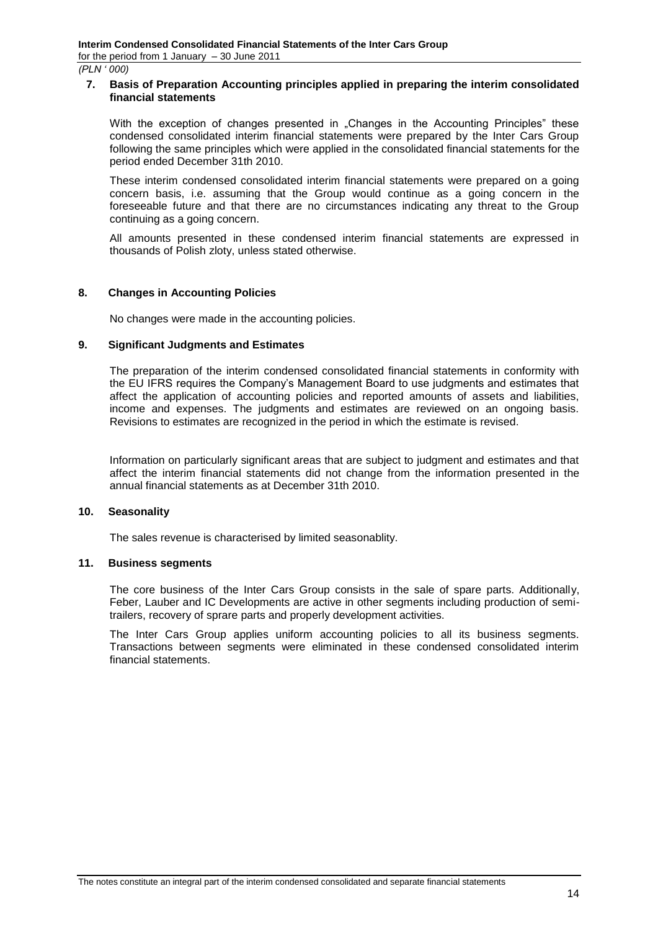*(PLN ' 000)*

#### <span id="page-13-0"></span>**7. Basis of Preparation Accounting principles applied in preparing the interim consolidated financial statements**

With the exception of changes presented in "Changes in the Accounting Principles" these condensed consolidated interim financial statements were prepared by the Inter Cars Group following the same principles which were applied in the consolidated financial statements for the period ended December 31th 2010.

These interim condensed consolidated interim financial statements were prepared on a going concern basis, i.e. assuming that the Group would continue as a going concern in the foreseeable future and that there are no circumstances indicating any threat to the Group continuing as a going concern.

All amounts presented in these condensed interim financial statements are expressed in thousands of Polish zloty, unless stated otherwise.

### <span id="page-13-1"></span>**8. Changes in Accounting Policies**

No changes were made in the accounting policies.

#### <span id="page-13-2"></span>**9. Significant Judgments and Estimates**

The preparation of the interim condensed consolidated financial statements in conformity with the EU IFRS requires the Company's Management Board to use judgments and estimates that affect the application of accounting policies and reported amounts of assets and liabilities, income and expenses. The judgments and estimates are reviewed on an ongoing basis. Revisions to estimates are recognized in the period in which the estimate is revised.

Information on particularly significant areas that are subject to judgment and estimates and that affect the interim financial statements did not change from the information presented in the annual financial statements as at December 31th 2010.

#### <span id="page-13-3"></span>**10. Seasonality**

The sales revenue is characterised by limited seasonablity.

#### <span id="page-13-4"></span>**11. Business segments**

The core business of the Inter Cars Group consists in the sale of spare parts. Additionally, Feber, Lauber and IC Developments are active in other segments including production of semitrailers, recovery of sprare parts and properly development activities.

The Inter Cars Group applies uniform accounting policies to all its business segments. Transactions between segments were eliminated in these condensed consolidated interim financial statements.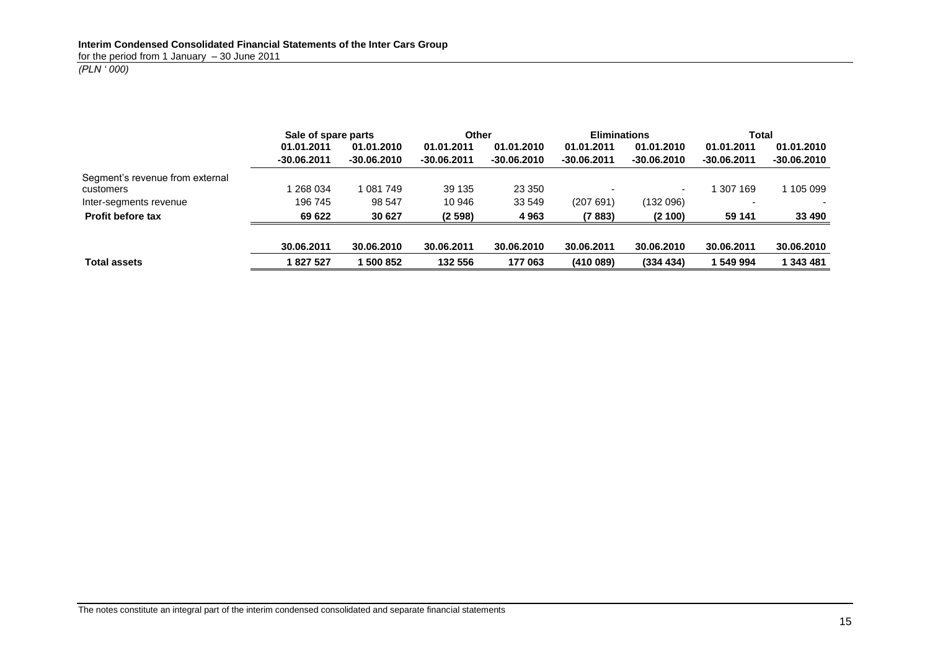# *(PLN ' 000)*

|                                 | Sale of spare parts |               | Other         |               | <b>Eliminations</b> |             | Total         |               |
|---------------------------------|---------------------|---------------|---------------|---------------|---------------------|-------------|---------------|---------------|
|                                 | 01.01.2011          | 01.01.2010    | 01.01.2011    | 01.01.2010    | 01.01.2011          | 01.01.2010  | 01.01.2011    | 01.01.2010    |
|                                 | $-30.06.2011$       | $-30.06,2010$ | $-30.06.2011$ | $-30.06.2010$ | $-30.06.2011$       | -30.06.2010 | $-30.06.2011$ | $-30.06,2010$ |
| Segment's revenue from external |                     |               |               |               |                     |             |               |               |
| customers                       | 268 034             | 1 081 749     | 39 135        | 23 350        |                     |             | 1 307 169     | 105 099       |
| Inter-segments revenue          | 196 745             | 98 547        | 10 946        | 33 549        | (207691)            | (132096)    |               |               |
| <b>Profit before tax</b>        | 69 622              | 30 627        | (2598)        | 4963          | (7883)              | (2 100)     | 59 141        | 33 490        |
|                                 |                     |               |               |               |                     |             |               |               |
|                                 | 30.06.2011          | 30.06.2010    | 30.06.2011    | 30.06.2010    | 30.06.2011          | 30.06.2010  | 30.06.2011    | 30.06.2010    |
| <b>Total assets</b>             | 827 527             | 500 852       | 132 556       | 177 063       | (410089)            | (334 434)   | 1 549 994     | 1 343 481     |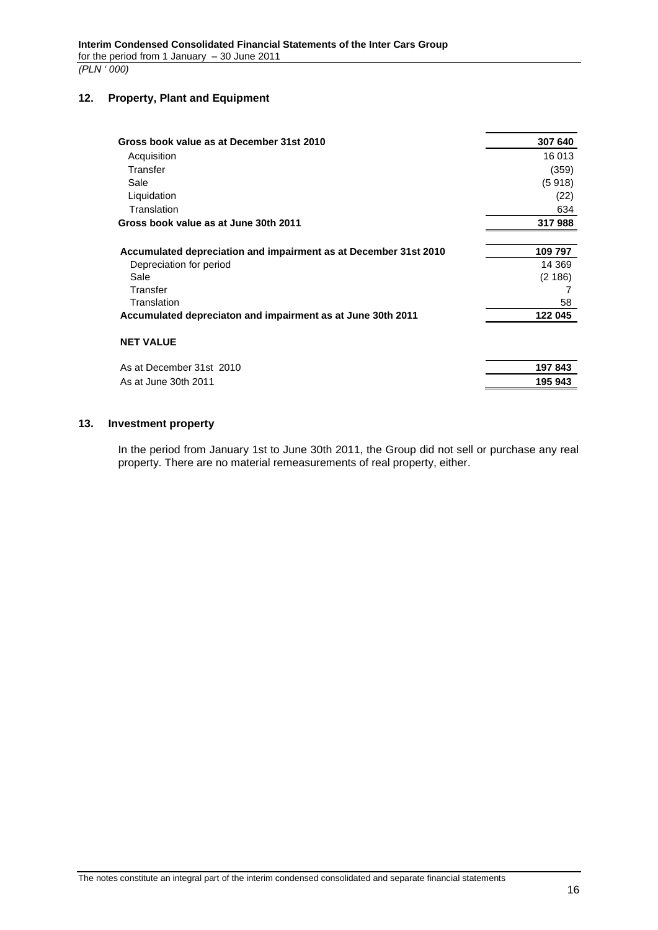# <span id="page-15-0"></span>**12. Property, Plant and Equipment**

| Gross book value as at December 31st 2010                        | 307 640 |
|------------------------------------------------------------------|---------|
| Acquisition                                                      | 16 013  |
| Transfer                                                         | (359)   |
| Sale                                                             | (5918)  |
| Liquidation                                                      | (22)    |
| Translation                                                      | 634     |
| Gross book value as at June 30th 2011                            | 317988  |
| Accumulated depreciation and impairment as at December 31st 2010 | 109 797 |
| Depreciation for period                                          | 14 369  |
| Sale                                                             | (2186)  |
| Transfer                                                         |         |
| Translation                                                      | 58      |
| Accumulated depreciaton and impairment as at June 30th 2011      | 122 045 |
| <b>NET VALUE</b>                                                 |         |
| As at December 31st 2010                                         | 197 843 |
| As at June 30th 2011                                             | 195 943 |

### <span id="page-15-1"></span>**13. Investment property**

In the period from January 1st to June 30th 2011, the Group did not sell or purchase any real property. There are no material remeasurements of real property, either.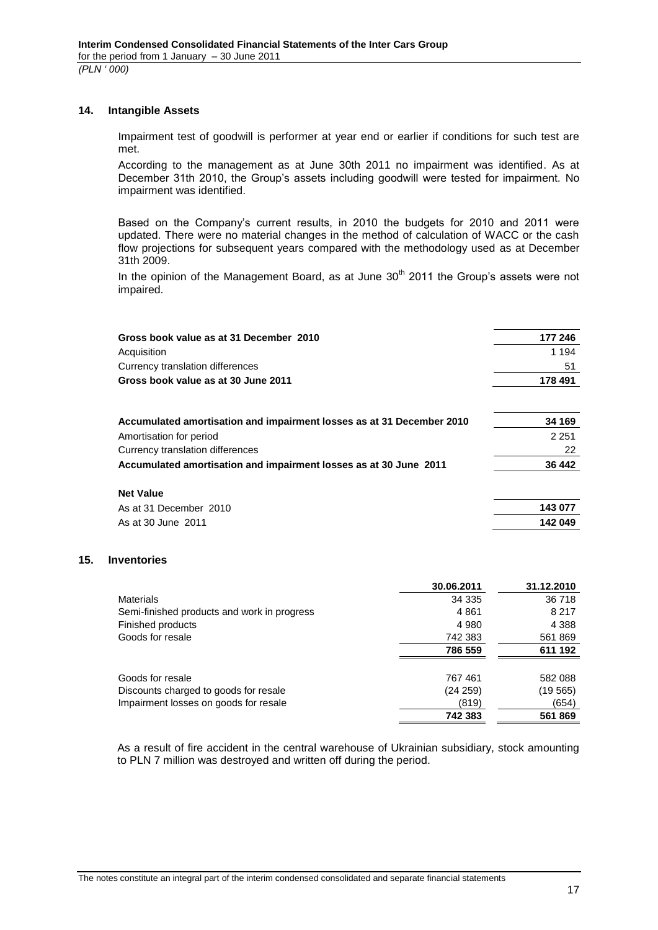#### <span id="page-16-0"></span>**14. Intangible Assets**

Impairment test of goodwill is performer at year end or earlier if conditions for such test are met.

According to the management as at June 30th 2011 no impairment was identified. As at December 31th 2010, the Group's assets including goodwill were tested for impairment. No impairment was identified.

Based on the Company's current results, in 2010 the budgets for 2010 and 2011 were updated. There were no material changes in the method of calculation of WACC or the cash flow projections for subsequent years compared with the methodology used as at December 31th 2009.

In the opinion of the Management Board, as at June  $30<sup>th</sup>$  2011 the Group's assets were not impaired.

| Gross book value as at 31 December 2010                               | 177 246 |
|-----------------------------------------------------------------------|---------|
| Acquisition                                                           | 1 1 9 4 |
| Currency translation differences                                      | 51      |
| Gross book value as at 30 June 2011                                   | 178 491 |
| Accumulated amortisation and impairment losses as at 31 December 2010 | 34 169  |
| Amortisation for period                                               | 2 2 5 1 |
| Currency translation differences                                      | 22      |
| Accumulated amortisation and impairment losses as at 30 June 2011     | 36 442  |
| <b>Net Value</b>                                                      |         |
| As at 31 December 2010                                                | 143 077 |

As at 30 June 2011 **142 049**

# <span id="page-16-1"></span>**15. Inventories**

|                                             | 30.06.2011 | 31.12.2010 |
|---------------------------------------------|------------|------------|
| <b>Materials</b>                            | 34 335     | 36 718     |
| Semi-finished products and work in progress | 4861       | 8 2 1 7    |
| Finished products                           | 4 9 8 0    | 4 3 8 8    |
| Goods for resale                            | 742 383    | 561869     |
|                                             | 786 559    | 611 192    |
| Goods for resale                            | 767461     | 582 088    |
| Discounts charged to goods for resale       | (24 259)   | (19565)    |
| Impairment losses on goods for resale       | (819)      | (654)      |
|                                             | 742 383    | 561869     |

As a result of fire accident in the central warehouse of Ukrainian subsidiary, stock amounting to PLN 7 million was destroyed and written off during the period.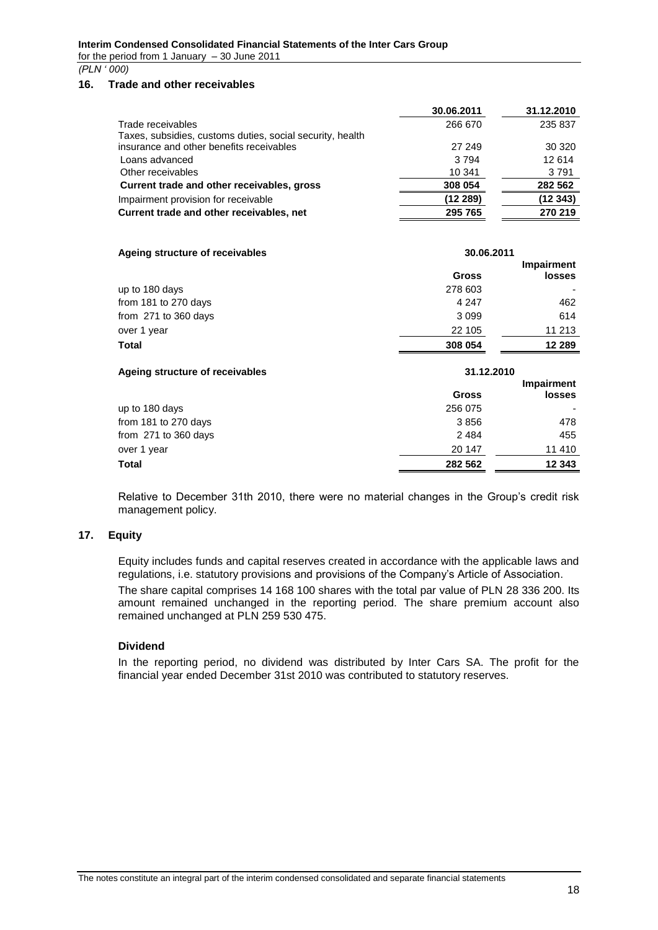# *(PLN ' 000)*

# <span id="page-17-0"></span>**16. Trade and other receivables**

|                                                           | 30.06.2011 | 31.12.2010 |
|-----------------------------------------------------------|------------|------------|
| Trade receivables                                         | 266 670    | 235 837    |
| Taxes, subsidies, customs duties, social security, health |            |            |
| insurance and other benefits receivables                  | 27 249     | 30 320     |
| Loans advanced                                            | 3794       | 12 614     |
| Other receivables                                         | 10 341     | 3791       |
| Current trade and other receivables, gross                | 308 054    | 282 562    |
| Impairment provision for receivable                       | (12289)    | (12 343)   |
| Current trade and other receivables, net                  | 295 765    | 270 219    |

| Ageing structure of receivables<br>30.06.2011 |              |               |
|-----------------------------------------------|--------------|---------------|
|                                               |              | Impairment    |
|                                               | <b>Gross</b> | <b>losses</b> |
| up to 180 days                                | 278 603      |               |
| from 181 to 270 days                          | 4 2 4 7      | 462           |
| from 271 to 360 days                          | 3099         | 614           |
| over 1 year                                   | 22 105       | 11 213        |
| <b>Total</b>                                  | 308 054      | 12 289        |

| Ageing structure of receivables | 31.12.2010   |                             |
|---------------------------------|--------------|-----------------------------|
|                                 | <b>Gross</b> | Impairment<br><b>losses</b> |
| up to 180 days                  | 256 075      |                             |
| from 181 to 270 days            | 3856         | 478                         |
| from 271 to 360 days            | 2484         | 455                         |
| over 1 year                     | 20 147       | 11 410                      |
| <b>Total</b>                    | 282 562      | 12 343                      |

Relative to December 31th 2010, there were no material changes in the Group's credit risk management policy.

### <span id="page-17-1"></span>**17. Equity**

Equity includes funds and capital reserves created in accordance with the applicable laws and regulations, i.e. statutory provisions and provisions of the Company's Article of Association.

The share capital comprises 14 168 100 shares with the total par value of PLN 28 336 200. Its amount remained unchanged in the reporting period. The share premium account also remained unchanged at PLN 259 530 475.

# **Dividend**

In the reporting period, no dividend was distributed by Inter Cars SA. The profit for the financial year ended December 31st 2010 was contributed to statutory reserves.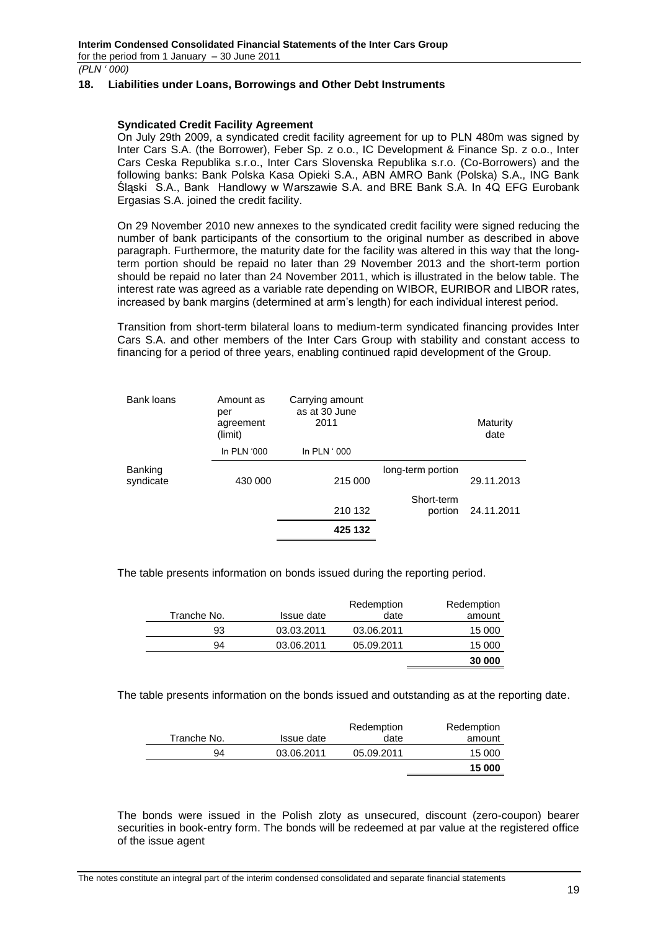*(PLN ' 000)*

#### <span id="page-18-0"></span>**18. Liabilities under Loans, Borrowings and Other Debt Instruments**

#### **Syndicated Credit Facility Agreement**

On July 29th 2009, a syndicated credit facility agreement for up to PLN 480m was signed by Inter Cars S.A. (the Borrower), Feber Sp. z o.o., IC Development & Finance Sp. z o.o., Inter Cars Ceska Republika s.r.o., Inter Cars Slovenska Republika s.r.o. (Co-Borrowers) and the following banks: Bank Polska Kasa Opieki S.A., ABN AMRO Bank (Polska) S.A., ING Bank Śląski S.A., Bank Handlowy w Warszawie S.A. and BRE Bank S.A. In 4Q EFG Eurobank Ergasias S.A. joined the credit facility.

On 29 November 2010 new annexes to the syndicated credit facility were signed reducing the number of bank participants of the consortium to the original number as described in above paragraph. Furthermore, the maturity date for the facility was altered in this way that the longterm portion should be repaid no later than 29 November 2013 and the short-term portion should be repaid no later than 24 November 2011, which is illustrated in the below table. The interest rate was agreed as a variable rate depending on WIBOR, EURIBOR and LIBOR rates, increased by bank margins (determined at arm's length) for each individual interest period.

Transition from short-term bilateral loans to medium-term syndicated financing provides Inter Cars S.A. and other members of the Inter Cars Group with stability and constant access to financing for a period of three years, enabling continued rapid development of the Group.

| Bank loans           | Amount as<br>per<br>agreement<br>(limit) | Carrying amount<br>as at 30 June<br>2011 |                       | Maturity<br>date |
|----------------------|------------------------------------------|------------------------------------------|-----------------------|------------------|
|                      | In PLN '000                              | In $PLN:000$                             |                       |                  |
| Banking<br>syndicate | 430 000                                  | 215 000                                  | long-term portion     | 29.11.2013       |
|                      |                                          | 210 132                                  | Short-term<br>portion | 24.11.2011       |
|                      |                                          | 425 132                                  |                       |                  |

The table presents information on bonds issued during the reporting period.

|             |            | Redemption | Redemption |
|-------------|------------|------------|------------|
| Tranche No. | Issue date | date       | amount     |
| 93          | 03.03.2011 | 03.06.2011 | 15 000     |
| 94          | 03.06.2011 | 05.09.2011 | 15 000     |
|             |            |            | 30 000     |

The table presents information on the bonds issued and outstanding as at the reporting date.

|             |            | Redemption | Redemption |
|-------------|------------|------------|------------|
| Tranche No. | Issue date | date       | amount     |
| 94          | 03.06.2011 | 05.09.2011 | 15 000     |
|             |            |            | 15 000     |

The bonds were issued in the Polish zloty as unsecured, discount (zero-coupon) bearer securities in book-entry form. The bonds will be redeemed at par value at the registered office of the issue agent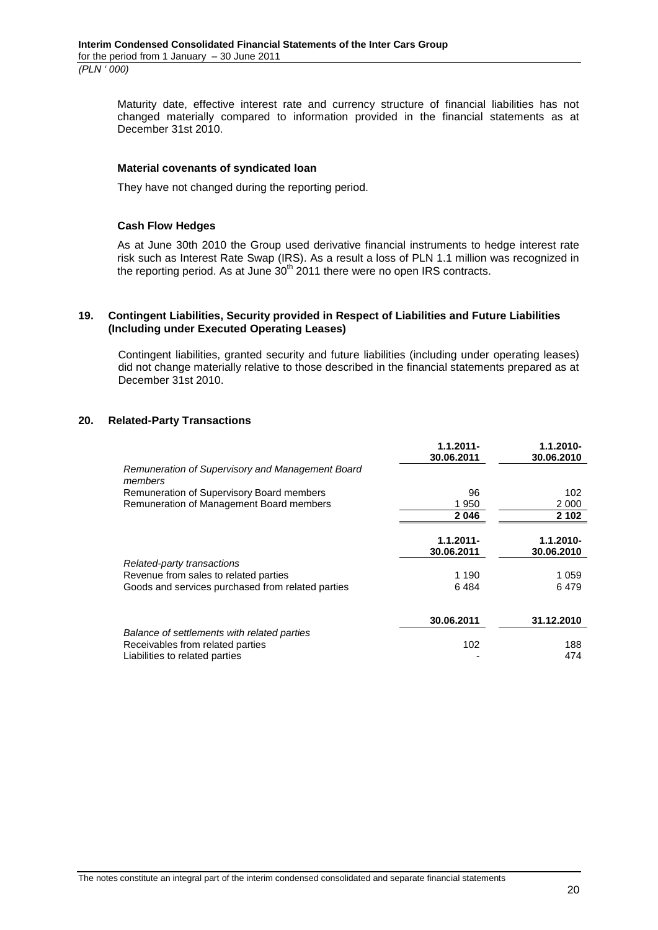Maturity date, effective interest rate and currency structure of financial liabilities has not changed materially compared to information provided in the financial statements as at December 31st 2010.

#### **Material covenants of syndicated loan**

They have not changed during the reporting period.

#### **Cash Flow Hedges**

As at June 30th 2010 the Group used derivative financial instruments to hedge interest rate risk such as Interest Rate Swap (IRS). As a result a loss of PLN 1.1 million was recognized in the reporting period. As at June  $30<sup>th</sup>$  2011 there were no open IRS contracts.

#### <span id="page-19-0"></span>**19. Contingent Liabilities, Security provided in Respect of Liabilities and Future Liabilities (Including under Executed Operating Leases)**

Contingent liabilities, granted security and future liabilities (including under operating leases) did not change materially relative to those described in the financial statements prepared as at December 31st 2010.

#### <span id="page-19-1"></span>**20. Related-Party Transactions**

|                                                             | $1.1.2011 -$<br>30.06.2011 | 1.1.2010-<br>30.06.2010 |
|-------------------------------------------------------------|----------------------------|-------------------------|
| Remuneration of Supervisory and Management Board<br>members |                            |                         |
| Remuneration of Supervisory Board members                   | 96                         | 102                     |
| Remuneration of Management Board members                    | 1950                       | 2 0 0 0                 |
|                                                             | 2046                       | 2 102                   |
|                                                             | $1.1.2011 -$<br>30.06.2011 | 1.1.2010-<br>30.06.2010 |
| Related-party transactions                                  |                            |                         |
| Revenue from sales to related parties                       | 1 1 9 0                    | 1 0 5 9                 |
| Goods and services purchased from related parties           | 6484                       | 6479                    |
|                                                             | 30.06.2011                 | 31.12.2010              |
| Balance of settlements with related parties                 |                            |                         |
| Receivables from related parties                            | 102                        | 188                     |
| Liabilities to related parties                              |                            | 474                     |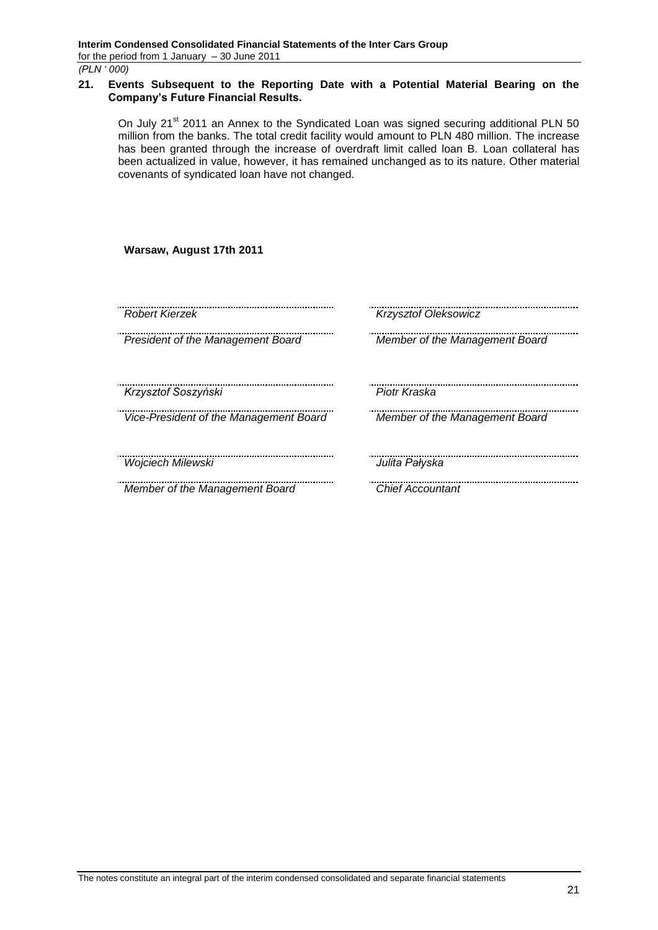*(PLN ' 000)*

#### <span id="page-20-0"></span>**21. Events Subsequent to the Reporting Date with a Potential Material Bearing on the Company's Future Financial Results.**

On July 21<sup>st</sup> 2011 an Annex to the Syndicated Loan was signed securing additional PLN 50 million from the banks. The total credit facility would amount to PLN 480 million. The increase has been granted through the increase of overdraft limit called loan B. Loan collateral has been actualized in value, however, it has remained unchanged as to its nature. Other material covenants of syndicated loan have not changed.

**Warsaw, August 17th 2011**

| Robert Kierzek                         | Krzysztof Oleksowicz           |
|----------------------------------------|--------------------------------|
| President of the Management Board      | Member of the Management Board |
| Krzysztof Soszyński                    | Piotr Kraska                   |
| Vice-President of the Management Board | Member of the Management Board |
| Wojciech Milewski                      | Julita Pałyska                 |
| Member of the Management Board         | <b>Chief Accountant</b>        |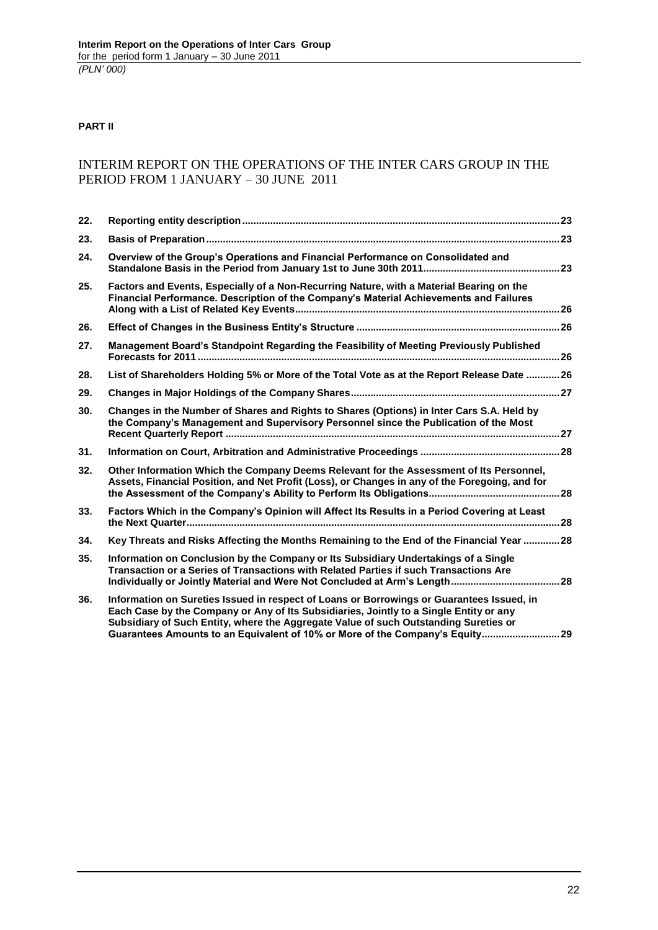# **PART II**

# INTERIM REPORT ON THE OPERATIONS OF THE INTER CARS GROUP IN THE PERIOD FROM 1 JANUARY – 30 JUNE 2011

| 22. |                                                                                                                                                                                                                                                                                                                                                              |  |
|-----|--------------------------------------------------------------------------------------------------------------------------------------------------------------------------------------------------------------------------------------------------------------------------------------------------------------------------------------------------------------|--|
| 23. |                                                                                                                                                                                                                                                                                                                                                              |  |
| 24. | Overview of the Group's Operations and Financial Performance on Consolidated and                                                                                                                                                                                                                                                                             |  |
| 25. | Factors and Events, Especially of a Non-Recurring Nature, with a Material Bearing on the<br>Financial Performance. Description of the Company's Material Achievements and Failures                                                                                                                                                                           |  |
| 26. |                                                                                                                                                                                                                                                                                                                                                              |  |
| 27. | Management Board's Standpoint Regarding the Feasibility of Meeting Previously Published                                                                                                                                                                                                                                                                      |  |
| 28. | List of Shareholders Holding 5% or More of the Total Vote as at the Report Release Date  26                                                                                                                                                                                                                                                                  |  |
| 29. |                                                                                                                                                                                                                                                                                                                                                              |  |
| 30. | Changes in the Number of Shares and Rights to Shares (Options) in Inter Cars S.A. Held by<br>the Company's Management and Supervisory Personnel since the Publication of the Most                                                                                                                                                                            |  |
| 31. |                                                                                                                                                                                                                                                                                                                                                              |  |
| 32. | Other Information Which the Company Deems Relevant for the Assessment of Its Personnel,<br>Assets, Financial Position, and Net Profit (Loss), or Changes in any of the Foregoing, and for                                                                                                                                                                    |  |
| 33. | Factors Which in the Company's Opinion will Affect Its Results in a Period Covering at Least                                                                                                                                                                                                                                                                 |  |
| 34. | Key Threats and Risks Affecting the Months Remaining to the End of the Financial Year 28                                                                                                                                                                                                                                                                     |  |
| 35. | Information on Conclusion by the Company or Its Subsidiary Undertakings of a Single<br>Transaction or a Series of Transactions with Related Parties if such Transactions Are                                                                                                                                                                                 |  |
| 36. | Information on Sureties Issued in respect of Loans or Borrowings or Guarantees Issued, in<br>Each Case by the Company or Any of Its Subsidiaries, Jointly to a Single Entity or any<br>Subsidiary of Such Entity, where the Aggregate Value of such Outstanding Sureties or<br>Guarantees Amounts to an Equivalent of 10% or More of the Company's Equity 29 |  |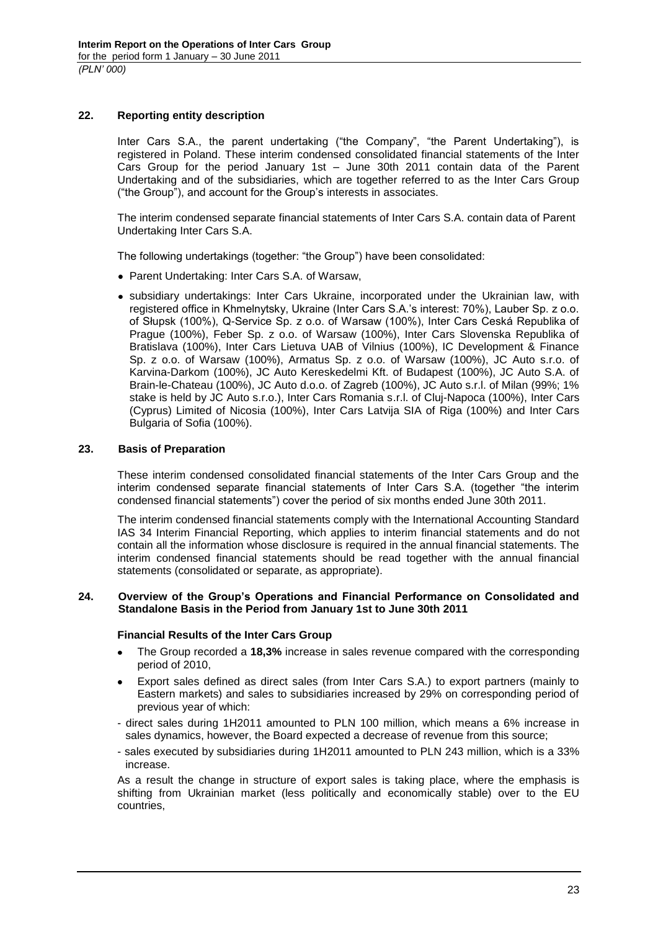# <span id="page-22-0"></span>**22. Reporting entity description**

Inter Cars S.A., the parent undertaking ("the Company", "the Parent Undertaking"), is registered in Poland. These interim condensed consolidated financial statements of the Inter Cars Group for the period January 1st – June 30th 2011 contain data of the Parent Undertaking and of the subsidiaries, which are together referred to as the Inter Cars Group ("the Group"), and account for the Group's interests in associates.

The interim condensed separate financial statements of Inter Cars S.A. contain data of Parent Undertaking Inter Cars S.A.

The following undertakings (together: "the Group") have been consolidated:

- Parent Undertaking: Inter Cars S.A. of Warsaw,
- subsidiary undertakings: Inter Cars Ukraine, incorporated under the Ukrainian law, with registered office in Khmelnytsky, Ukraine (Inter Cars S.A.'s interest: 70%), Lauber Sp. z o.o. of Słupsk (100%), Q-Service Sp. z o.o. of Warsaw (100%), Inter Cars Ceská Republika of Prague (100%), Feber Sp. z o.o. of Warsaw (100%), Inter Cars Slovenska Republika of Bratislava (100%), Inter Cars Lietuva UAB of Vilnius (100%), IC Development & Finance Sp. z o.o. of Warsaw (100%), Armatus Sp. z o.o. of Warsaw (100%), JC Auto s.r.o. of Karvina-Darkom (100%), JC Auto Kereskedelmi Kft. of Budapest (100%), JC Auto S.A. of Brain-le-Chateau (100%), JC Auto d.o.o. of Zagreb (100%), JC Auto s.r.l. of Milan (99%; 1% stake is held by JC Auto s.r.o.), Inter Cars Romania s.r.l. of Cluj-Napoca (100%), Inter Cars (Cyprus) Limited of Nicosia (100%), Inter Cars Latvija SIA of Riga (100%) and Inter Cars Bulgaria of Sofia (100%).

#### <span id="page-22-1"></span>**23. Basis of Preparation**

These interim condensed consolidated financial statements of the Inter Cars Group and the interim condensed separate financial statements of Inter Cars S.A. (together "the interim condensed financial statements") cover the period of six months ended June 30th 2011.

The interim condensed financial statements comply with the International Accounting Standard IAS 34 Interim Financial Reporting, which applies to interim financial statements and do not contain all the information whose disclosure is required in the annual financial statements. The interim condensed financial statements should be read together with the annual financial statements (consolidated or separate, as appropriate).

#### <span id="page-22-2"></span>**24. Overview of the Group's Operations and Financial Performance on Consolidated and Standalone Basis in the Period from January 1st to June 30th 2011**

#### **Financial Results of the Inter Cars Group**

- The Group recorded a **18,3%** increase in sales revenue compared with the corresponding  $\bullet$ period of 2010,
- Export sales defined as direct sales (from Inter Cars S.A.) to export partners (mainly to Eastern markets) and sales to subsidiaries increased by 29% on corresponding period of previous year of which:
- direct sales during 1H2011 amounted to PLN 100 million, which means a 6% increase in sales dynamics, however, the Board expected a decrease of revenue from this source;
- sales executed by subsidiaries during 1H2011 amounted to PLN 243 million, which is a 33% increase.

As a result the change in structure of export sales is taking place, where the emphasis is shifting from Ukrainian market (less politically and economically stable) over to the EU countries,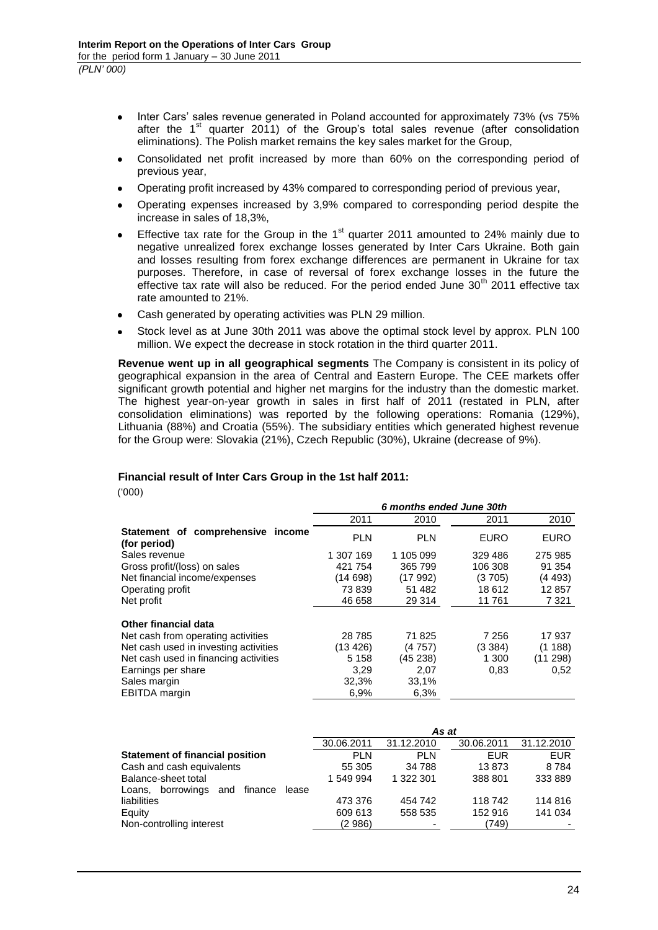- Inter Cars' sales revenue generated in Poland accounted for approximately 73% (vs 75%  $\bullet$ after the  $1<sup>st</sup>$  quarter 2011) of the Group's total sales revenue (after consolidation eliminations). The Polish market remains the key sales market for the Group,
- Consolidated net profit increased by more than 60% on the corresponding period of previous year,
- Operating profit increased by 43% compared to corresponding period of previous year,
- Operating expenses increased by 3,9% compared to corresponding period despite the  $\bullet$ increase in sales of 18,3%,
- Effective tax rate for the Group in the  $1<sup>st</sup>$  quarter 2011 amounted to 24% mainly due to negative unrealized forex exchange losses generated by Inter Cars Ukraine. Both gain and losses resulting from forex exchange differences are permanent in Ukraine for tax purposes. Therefore, in case of reversal of forex exchange losses in the future the effective tax rate will also be reduced. For the period ended June  $30<sup>th</sup>$  2011 effective tax rate amounted to 21%.
- Cash generated by operating activities was PLN 29 million.
- Stock level as at June 30th 2011 was above the optimal stock level by approx. PLN 100 million. We expect the decrease in stock rotation in the third quarter 2011.

**Revenue went up in all geographical segments** The Company is consistent in its policy of geographical expansion in the area of Central and Eastern Europe. The CEE markets offer significant growth potential and higher net margins for the industry than the domestic market. The highest year-on-year growth in sales in first half of 2011 (restated in PLN, after consolidation eliminations) was reported by the following operations: Romania (129%), Lithuania (88%) and Croatia (55%). The subsidiary entities which generated highest revenue for the Group were: Slovakia (21%), Czech Republic (30%), Ukraine (decrease of 9%).

### **Financial result of Inter Cars Group in the 1st half 2011:**

('000)

|                                                   | 6 months ended June 30th |            |             |             |
|---------------------------------------------------|--------------------------|------------|-------------|-------------|
|                                                   | 2011                     | 2010       | 2011        | 2010        |
| Statement of comprehensive income<br>(for period) | <b>PLN</b>               | <b>PLN</b> | <b>EURO</b> | <b>EURO</b> |
| Sales revenue                                     | 1 307 169                | 1 105 099  | 329 486     | 275 985     |
| Gross profit/(loss) on sales                      | 421 754                  | 365 799    | 106 308     | 91 354      |
| Net financial income/expenses                     | (14698)                  | (17992)    | (3705)      | (4493)      |
| Operating profit                                  | 73839                    | 51 482     | 18 612      | 12857       |
| Net profit                                        | 46 658                   | 29 314     | 11 761      | 7 3 2 1     |
| <b>Other financial data</b>                       |                          |            |             |             |
| Net cash from operating activities                | 28 7 85                  | 71825      | 7 256       | 17937       |
| Net cash used in investing activities             | (13 426)                 | (4 757)    | (3384)      | (1188)      |
| Net cash used in financing activities             | 5 1 5 8                  | (45 238)   | 1 300       | (11 298)    |
| Earnings per share                                | 3.29                     | 2.07       | 0.83        | 0,52        |
| Sales margin                                      | 32,3%                    | 33,1%      |             |             |
| EBITDA margin                                     | 6.9%                     | 6,3%       |             |             |

|                                                 |            |            | As at      |            |
|-------------------------------------------------|------------|------------|------------|------------|
|                                                 | 30.06.2011 | 31.12.2010 | 30.06.2011 | 31.12.2010 |
| <b>Statement of financial position</b>          | <b>PLN</b> | <b>PLN</b> | <b>EUR</b> | <b>EUR</b> |
| Cash and cash equivalents                       | 55 305     | 34 788     | 13873      | 8784       |
| Balance-sheet total                             | 1 549 994  | 1 322 301  | 388 801    | 333 889    |
| finance<br>borrowings<br>and<br>lease<br>Loans, |            |            |            |            |
| liabilities                                     | 473 376    | 454 742    | 118 742    | 114 816    |
| Equity                                          | 609 613    | 558 535    | 152 916    | 141 034    |
| Non-controlling interest                        | (2 986)    |            | (749)      |            |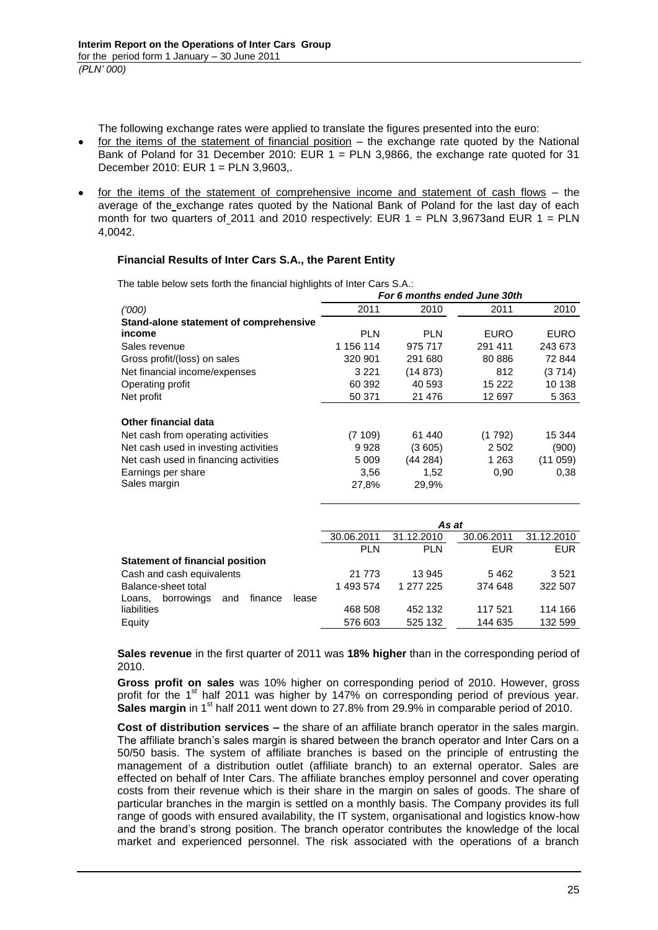The following exchange rates were applied to translate the figures presented into the euro:

- for the items of the statement of financial position the exchange rate quoted by the National Bank of Poland for 31 December 2010: EUR 1 = PLN 3,9866, the exchange rate quoted for 31 December 2010: EUR 1 = PLN 3,9603,.
- for the items of the statement of comprehensive income and statement of cash flows the average of the\_exchange rates quoted by the National Bank of Poland for the last day of each month for two quarters of 2011 and 2010 respectively: EUR  $1 = PLN$  3,9673and EUR  $1 = PLN$ 4,0042.

# **Financial Results of Inter Cars S.A., the Parent Entity**

|                                                 | For 6 months ended June 30th |            |             |             |  |
|-------------------------------------------------|------------------------------|------------|-------------|-------------|--|
| (1000)                                          | 2011                         | 2010       | 2011        | 2010        |  |
| Stand-alone statement of comprehensive          |                              |            |             |             |  |
| income                                          | <b>PLN</b>                   | <b>PLN</b> | <b>EURO</b> | <b>EURO</b> |  |
| Sales revenue                                   | 1 156 114                    | 975 717    | 291 411     | 243 673     |  |
| Gross profit/(loss) on sales                    | 320 901                      | 291 680    | 80 886      | 72 844      |  |
| Net financial income/expenses                   | 3 2 2 1                      | (14873)    | 812         | (3714)      |  |
| Operating profit                                | 60 392                       | 40 593     | 15 2 22     | 10 138      |  |
| Net profit                                      | 50 371                       | 21 4 7 6   | 12 697      | 5 3 6 3     |  |
|                                                 |                              |            |             |             |  |
| Other financial data                            |                              |            |             |             |  |
| Net cash from operating activities              | (7109)                       | 61 440     | (1792)      | 15 344      |  |
| Net cash used in investing activities           | 9928                         | (3605)     | 2 5 0 2     | (900)       |  |
| Net cash used in financing activities           | 5 0 0 9                      | (44284)    | 1 2 6 3     | (11059)     |  |
| Earnings per share                              | 3,56                         | 1,52       | 0,90        | 0,38        |  |
| Sales margin                                    | 27,8%                        | 29,9%      |             |             |  |
|                                                 |                              |            |             |             |  |
|                                                 |                              |            |             |             |  |
|                                                 |                              |            | As at       |             |  |
|                                                 | 30.06.2011                   | 31.12.2010 | 30.06.2011  | 31.12.2010  |  |
|                                                 | <b>PLN</b>                   | <b>PLN</b> | <b>EUR</b>  | <b>EUR</b>  |  |
| <b>Statement of financial position</b>          |                              |            |             |             |  |
| Cash and cash equivalents                       | 21 773                       | 13 945     | 5462        | 3521        |  |
| Balance-sheet total                             | 1 493 574                    | 1 277 225  | 374 648     | 322 507     |  |
| borrowings<br>finance<br>Loans,<br>and<br>lease |                              |            |             |             |  |
| liabilities                                     | 468 508                      | 452 132    | 117521      | 114 166     |  |
| Equity                                          | 576 603                      | 525 132    | 144 635     | 132 599     |  |

The table below sets forth the financial highlights of Inter Cars S.A.:

**Sales revenue** in the first quarter of 2011 was **18% higher** than in the corresponding period of 2010.

**Gross profit on sales** was 10% higher on corresponding period of 2010. However, gross profit for the 1<sup>st</sup> half 2011 was higher by 147% on corresponding period of previous year. **Sales margin** in 1<sup>st</sup> half 2011 went down to 27.8% from 29.9% in comparable period of 2010.

**Cost of distribution services –** the share of an affiliate branch operator in the sales margin. The affiliate branch's sales margin is shared between the branch operator and Inter Cars on a 50/50 basis. The system of affiliate branches is based on the principle of entrusting the management of a distribution outlet (affiliate branch) to an external operator. Sales are effected on behalf of Inter Cars. The affiliate branches employ personnel and cover operating costs from their revenue which is their share in the margin on sales of goods. The share of particular branches in the margin is settled on a monthly basis. The Company provides its full range of goods with ensured availability, the IT system, organisational and logistics know-how and the brand's strong position. The branch operator contributes the knowledge of the local market and experienced personnel. The risk associated with the operations of a branch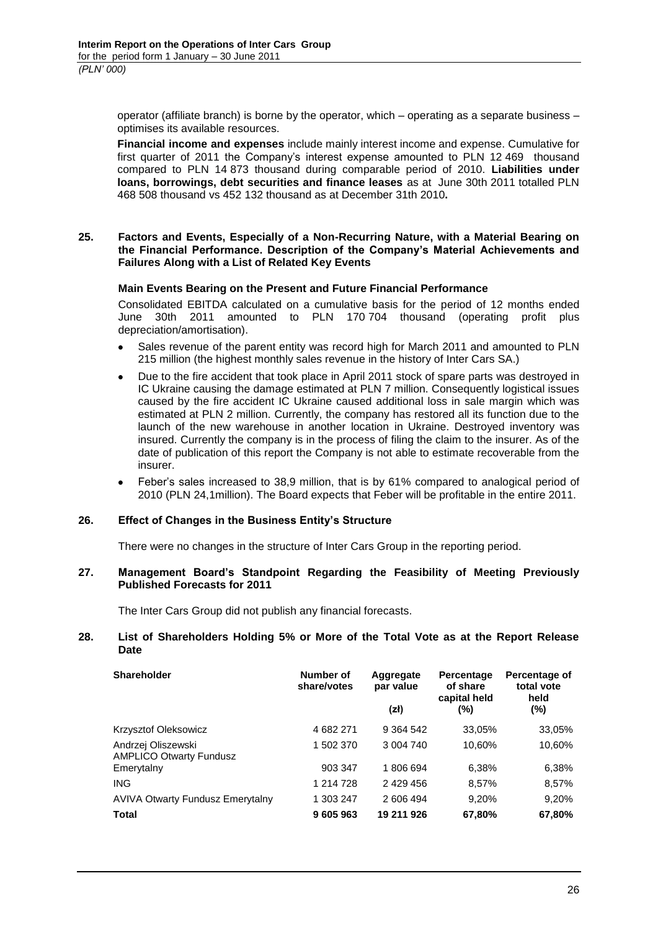operator (affiliate branch) is borne by the operator, which – operating as a separate business – optimises its available resources.

**Financial income and expenses** include mainly interest income and expense. Cumulative for first quarter of 2011 the Company's interest expense amounted to PLN 12 469 thousand compared to PLN 14 873 thousand during comparable period of 2010. **Liabilities under loans, borrowings, debt securities and finance leases** as at June 30th 2011 totalled PLN 468 508 thousand vs 452 132 thousand as at December 31th 2010**.**

#### <span id="page-25-0"></span>**25. Factors and Events, Especially of a Non-Recurring Nature, with a Material Bearing on the Financial Performance. Description of the Company's Material Achievements and Failures Along with a List of Related Key Events**

#### **Main Events Bearing on the Present and Future Financial Performance**

Consolidated EBITDA calculated on a cumulative basis for the period of 12 months ended June 30th 2011 amounted to PLN 170 704 thousand (operating profit plus depreciation/amortisation).

- Sales revenue of the parent entity was record high for March 2011 and amounted to PLN 215 million (the highest monthly sales revenue in the history of Inter Cars SA.)
- Due to the fire accident that took place in April 2011 stock of spare parts was destroyed in  $\bullet$ IC Ukraine causing the damage estimated at PLN 7 million. Consequently logistical issues caused by the fire accident IC Ukraine caused additional loss in sale margin which was estimated at PLN 2 million. Currently, the company has restored all its function due to the launch of the new warehouse in another location in Ukraine. Destroyed inventory was insured. Currently the company is in the process of filing the claim to the insurer. As of the date of publication of this report the Company is not able to estimate recoverable from the insurer.
- Feber's sales increased to 38,9 million, that is by 61% compared to analogical period of 2010 (PLN 24,1million). The Board expects that Feber will be profitable in the entire 2011.

#### <span id="page-25-1"></span>**26. Effect of Changes in the Business Entity's Structure**

There were no changes in the structure of Inter Cars Group in the reporting period.

#### <span id="page-25-2"></span>**27. Management Board's Standpoint Regarding the Feasibility of Meeting Previously Published Forecasts for 2011**

The Inter Cars Group did not publish any financial forecasts.

#### <span id="page-25-3"></span>**28. List of Shareholders Holding 5% or More of the Total Vote as at the Report Release Date**

| <b>Shareholder</b>                                   | Number of<br>share/votes | Aggregate<br>par value | Percentage<br>of share<br>capital held | Percentage of<br>total vote<br>held |
|------------------------------------------------------|--------------------------|------------------------|----------------------------------------|-------------------------------------|
|                                                      |                          | (zh)                   | (%)                                    | $(\%)$                              |
| Krzysztof Oleksowicz                                 | 4 682 271                | 9 3 64 5 42            | 33,05%                                 | 33,05%                              |
| Andrzej Oliszewski<br><b>AMPLICO Otwarty Fundusz</b> | 1 502 370                | 3 004 740              | 10,60%                                 | 10,60%                              |
| Emerytalny                                           | 903 347                  | 1806694                | 6,38%                                  | 6,38%                               |
| <b>ING</b>                                           | 1 214 728                | 2 429 456              | 8,57%                                  | 8,57%                               |
| <b>AVIVA Otwarty Fundusz Emerytalny</b>              | 1 303 247                | 2 606 494              | 9,20%                                  | 9,20%                               |
| <b>Total</b>                                         | 9 605 963                | 19 211 926             | 67,80%                                 | 67,80%                              |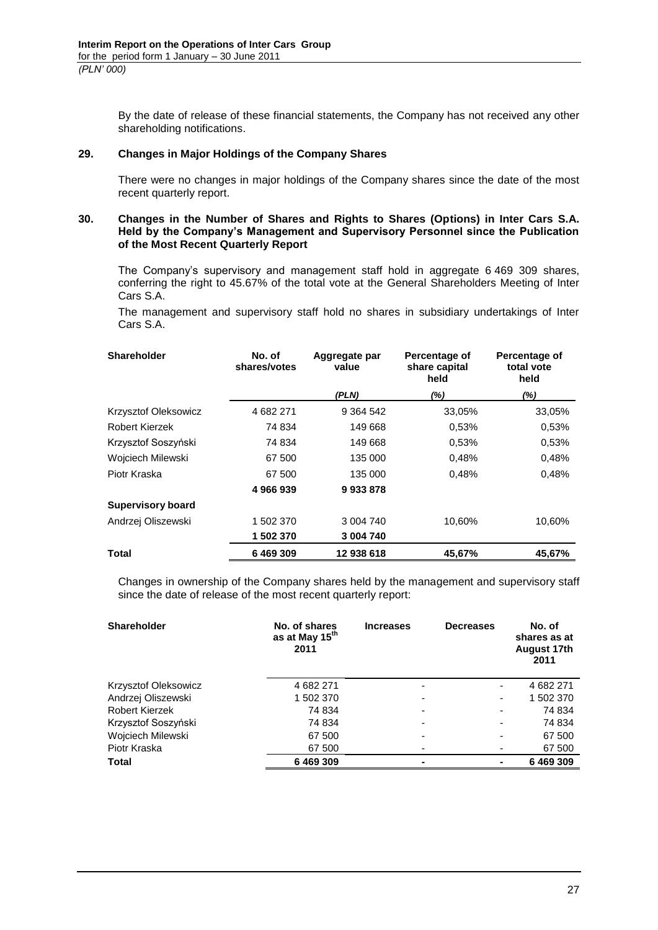By the date of release of these financial statements, the Company has not received any other shareholding notifications.

# <span id="page-26-0"></span>**29. Changes in Major Holdings of the Company Shares**

There were no changes in major holdings of the Company shares since the date of the most recent quarterly report.

#### <span id="page-26-1"></span>**30. Changes in the Number of Shares and Rights to Shares (Options) in Inter Cars S.A. Held by the Company's Management and Supervisory Personnel since the Publication of the Most Recent Quarterly Report**

The Company's supervisory and management staff hold in aggregate 6 469 309 shares, conferring the right to 45.67% of the total vote at the General Shareholders Meeting of Inter Cars S.A.

The management and supervisory staff hold no shares in subsidiary undertakings of Inter Cars S.A.

| <b>Shareholder</b>       | No. of<br>shares/votes | Aggregate par<br>value | Percentage of<br>share capital<br>held | Percentage of<br>total vote<br>held |
|--------------------------|------------------------|------------------------|----------------------------------------|-------------------------------------|
|                          |                        | (PLN)                  | $(\%)$                                 | $(\%)$                              |
| Krzysztof Oleksowicz     | 4 682 271              | 9 3 64 5 42            | 33,05%                                 | 33,05%                              |
| Robert Kierzek           | 74 834                 | 149 668                | 0,53%                                  | 0,53%                               |
| Krzysztof Soszyński      | 74 834                 | 149 668                | 0.53%                                  | 0,53%                               |
| Wojciech Milewski        | 67 500                 | 135 000                | 0,48%                                  | 0,48%                               |
| Piotr Kraska             | 67 500                 | 135 000                | 0,48%                                  | 0,48%                               |
|                          | 4 966 939              | 9933878                |                                        |                                     |
| <b>Supervisory board</b> |                        |                        |                                        |                                     |
| Andrzej Oliszewski       | 1 502 370              | 3 004 740              | 10,60%                                 | 10,60%                              |
|                          | 1 502 370              | 3 004 740              |                                        |                                     |
| Total                    | 6 469 309              | 12 938 618             | 45.67%                                 | 45.67%                              |

Changes in ownership of the Company shares held by the management and supervisory staff since the date of release of the most recent quarterly report:

| <b>Shareholder</b>   | No. of shares<br>as at May 15 <sup>th</sup><br>2011 | <b>Increases</b> | <b>Decreases</b>         | No. of<br>shares as at<br><b>August 17th</b><br>2011 |
|----------------------|-----------------------------------------------------|------------------|--------------------------|------------------------------------------------------|
| Krzysztof Oleksowicz | 4 682 271                                           | -                | ۰                        | 4 682 271                                            |
| Andrzej Oliszewski   | 1 502 370                                           |                  | ٠                        | 1 502 370                                            |
| Robert Kierzek       | 74 834                                              |                  | $\overline{\phantom{a}}$ | 74 834                                               |
| Krzysztof Soszyński  | 74 834                                              |                  | $\overline{\phantom{a}}$ | 74 834                                               |
| Wojciech Milewski    | 67 500                                              |                  | $\blacksquare$           | 67 500                                               |
| Piotr Kraska         | 67 500                                              |                  |                          | 67 500                                               |
| <b>Total</b>         | 6469309                                             | -                |                          | 6469309                                              |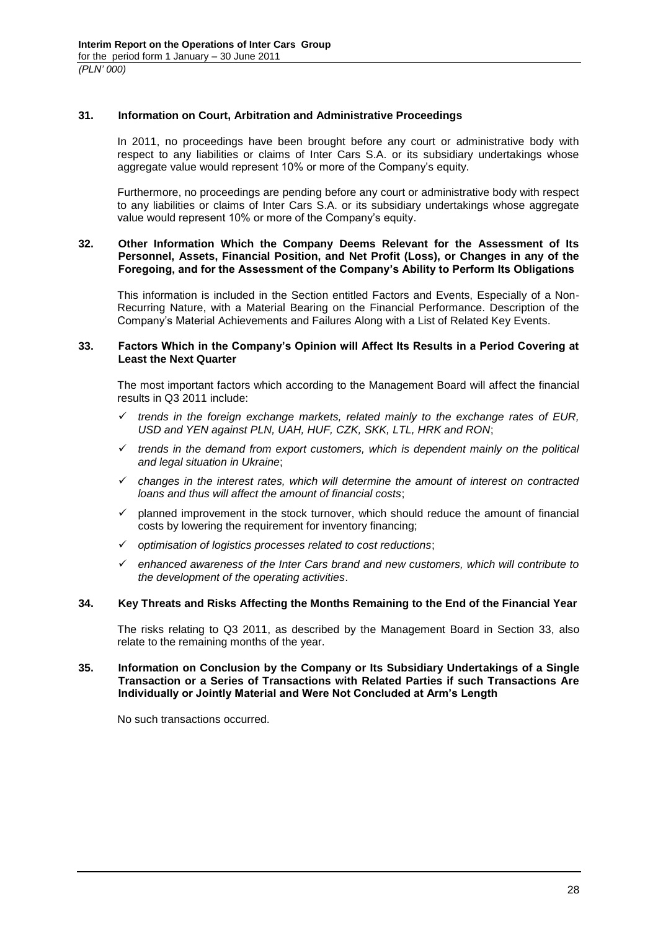### <span id="page-27-0"></span>**31. Information on Court, Arbitration and Administrative Proceedings**

In 2011, no proceedings have been brought before any court or administrative body with respect to any liabilities or claims of Inter Cars S.A. or its subsidiary undertakings whose aggregate value would represent 10% or more of the Company's equity.

Furthermore, no proceedings are pending before any court or administrative body with respect to any liabilities or claims of Inter Cars S.A. or its subsidiary undertakings whose aggregate value would represent 10% or more of the Company's equity.

#### <span id="page-27-1"></span>**32. Other Information Which the Company Deems Relevant for the Assessment of Its Personnel, Assets, Financial Position, and Net Profit (Loss), or Changes in any of the Foregoing, and for the Assessment of the Company's Ability to Perform Its Obligations**

This information is included in the Section entitled Factors and Events, Especially of a Non-Recurring Nature, with a Material Bearing on the Financial Performance. Description of the Company's Material Achievements and Failures Along with a List of Related Key Events.

#### <span id="page-27-2"></span>**33. Factors Which in the Company's Opinion will Affect Its Results in a Period Covering at Least the Next Quarter**

The most important factors which according to the Management Board will affect the financial results in Q3 2011 include:

- *trends in the foreign exchange markets, related mainly to the exchange rates of EUR, USD and YEN against PLN, UAH, HUF, CZK, SKK, LTL, HRK and RON*;
- $\checkmark$  trends in the demand from export customers, which is dependent mainly on the political *and legal situation in Ukraine*;
- *changes in the interest rates, which will determine the amount of interest on contracted loans and thus will affect the amount of financial costs*;
- $\checkmark$  planned improvement in the stock turnover, which should reduce the amount of financial costs by lowering the requirement for inventory financing;
- *optimisation of logistics processes related to cost reductions*;
- *enhanced awareness of the Inter Cars brand and new customers, which will contribute to the development of the operating activities*.

#### <span id="page-27-3"></span>**34. Key Threats and Risks Affecting the Months Remaining to the End of the Financial Year**

The risks relating to Q3 2011, as described by the Management Board in Section 33, also relate to the remaining months of the year.

#### <span id="page-27-4"></span>**35. Information on Conclusion by the Company or Its Subsidiary Undertakings of a Single Transaction or a Series of Transactions with Related Parties if such Transactions Are Individually or Jointly Material and Were Not Concluded at Arm's Length**

No such transactions occurred.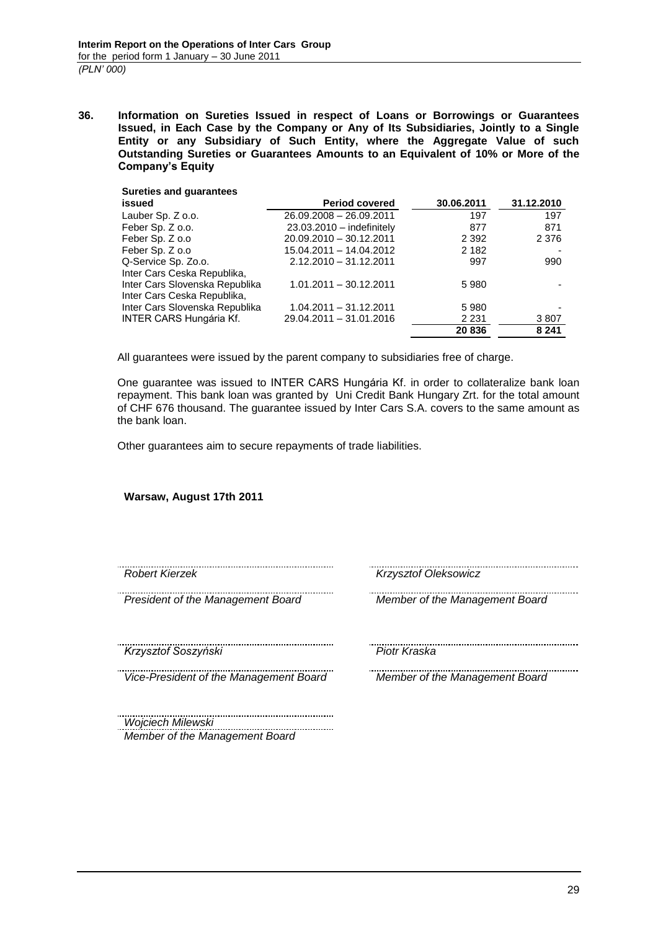<span id="page-28-0"></span>**36. Information on Sureties Issued in respect of Loans or Borrowings or Guarantees Issued, in Each Case by the Company or Any of Its Subsidiaries, Jointly to a Single Entity or any Subsidiary of Such Entity, where the Aggregate Value of such Outstanding Sureties or Guarantees Amounts to an Equivalent of 10% or More of the Company's Equity**

| <b>Sureties and guarantees</b> |                             |            |            |
|--------------------------------|-----------------------------|------------|------------|
| issued                         | <b>Period covered</b>       | 30.06.2011 | 31.12.2010 |
| Lauber Sp. Z o.o.              | 26.09.2008 - 26.09.2011     | 197        | 197        |
| Feber Sp. Z o.o.               | $23.03.2010 -$ indefinitely | 877        | 871        |
| Feber Sp. Z o.o                | 20.09.2010 - 30.12.2011     | 2 3 9 2    | 2 3 7 6    |
| Feber Sp. Z o.o                | 15.04.2011 - 14.04.2012     | 2 1 8 2    |            |
| Q-Service Sp. Zo.o.            | $2.12.2010 - 31.12.2011$    | 997        | 990        |
| Inter Cars Ceska Republika,    |                             |            |            |
| Inter Cars Slovenska Republika | 1.01.2011 - 30.12.2011      | 5980       |            |
| Inter Cars Ceska Republika,    |                             |            |            |
| Inter Cars Slovenska Republika | 1.04.2011 - 31.12.2011      | 5980       |            |
| <b>INTER CARS Hungária Kf.</b> | 29.04.2011 - 31.01.2016     | 2 2 3 1    | 3807       |
|                                |                             | 20836      | 8 2 4 1    |

All guarantees were issued by the parent company to subsidiaries free of charge.

One guarantee was issued to INTER CARS Hungária Kf. in order to collateralize bank loan repayment. This bank loan was granted by Uni Credit Bank Hungary Zrt. for the total amount of CHF 676 thousand. The guarantee issued by Inter Cars S.A. covers to the same amount as the bank loan.

Other guarantees aim to secure repayments of trade liabilities.

**Warsaw, August 17th 2011**

*Krzysztof Soszyński Piotr Kraska*

*Vice-President of the Management Board Member of the Management Board*

*Robert Kierzek Krzysztof Oleksowicz*

*President of the Management Board Member of the Management Board*

..................................... *Wojciech Milewski Member of the Management Board*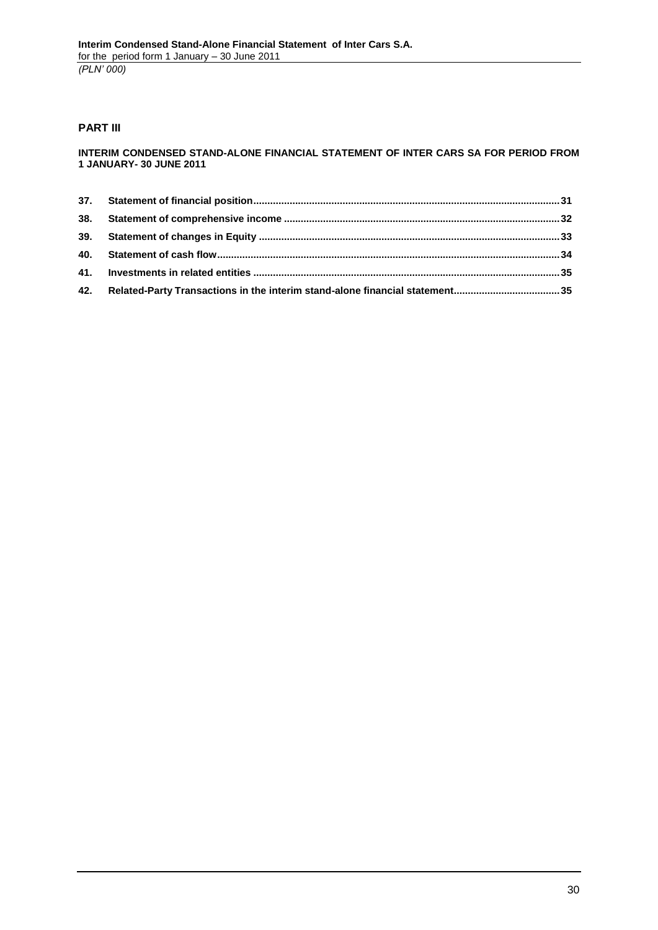# **PART III**

#### **INTERIM CONDENSED STAND-ALONE FINANCIAL STATEMENT OF INTER CARS SA FOR PERIOD FROM 1 JANUARY- 30 JUNE 2011**

| 42. Related-Party Transactions in the interim stand-alone financial statement35 |  |
|---------------------------------------------------------------------------------|--|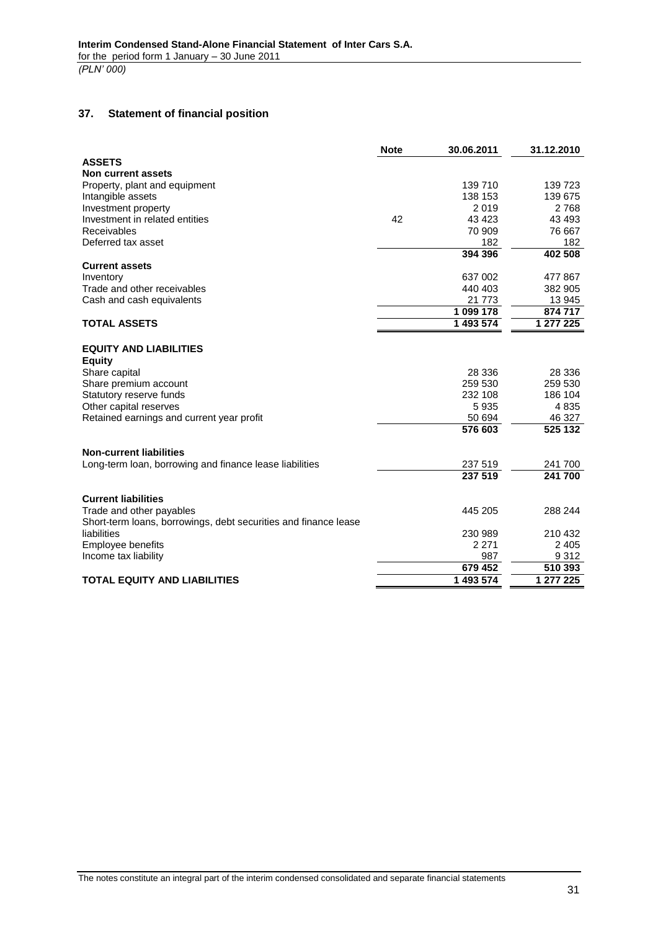# <span id="page-30-0"></span>**37. Statement of financial position**

|                                                                 | <b>Note</b> | 30.06.2011 | 31.12.2010 |
|-----------------------------------------------------------------|-------------|------------|------------|
| <b>ASSETS</b>                                                   |             |            |            |
| <b>Non current assets</b>                                       |             |            |            |
| Property, plant and equipment                                   |             | 139 710    | 139 723    |
| Intangible assets                                               |             | 138 153    | 139 675    |
| Investment property                                             |             | 2019       | 2768       |
| Investment in related entities                                  | 42          | 43 4 23    | 43 4 93    |
| <b>Receivables</b>                                              |             | 70 909     | 76 667     |
| Deferred tax asset                                              |             | 182        | 182        |
|                                                                 |             | 394 396    | 402 508    |
| <b>Current assets</b>                                           |             |            |            |
| Inventory                                                       |             | 637 002    | 477 867    |
| Trade and other receivables                                     |             | 440 403    | 382 905    |
| Cash and cash equivalents                                       |             | 21 773     | 13 945     |
|                                                                 |             | 1 099 178  | 874 717    |
| <b>TOTAL ASSETS</b>                                             |             | 1 493 574  | 1 277 225  |
|                                                                 |             |            |            |
| <b>EQUITY AND LIABILITIES</b>                                   |             |            |            |
| <b>Equity</b>                                                   |             |            |            |
| Share capital                                                   |             | 28 336     | 28 336     |
| Share premium account                                           |             | 259 530    | 259 530    |
| Statutory reserve funds                                         |             | 232 108    | 186 104    |
| Other capital reserves                                          |             | 5935       | 4835       |
| Retained earnings and current year profit                       |             | 50 694     | 46 327     |
|                                                                 |             | 576 603    | 525 132    |
| <b>Non-current liabilities</b>                                  |             |            |            |
| Long-term loan, borrowing and finance lease liabilities         |             | 237 519    | 241 700    |
|                                                                 |             | 237 519    | 241 700    |
| <b>Current liabilities</b>                                      |             |            |            |
| Trade and other payables                                        |             | 445 205    | 288 244    |
| Short-term loans, borrowings, debt securities and finance lease |             |            |            |
| liabilities                                                     |             | 230 989    | 210 432    |
| Employee benefits                                               |             | 2 2 7 1    | 2 4 0 5    |
| Income tax liability                                            |             | 987        | 9312       |
|                                                                 |             | 679 452    | 510 393    |
| <b>TOTAL EQUITY AND LIABILITIES</b>                             |             | 1493574    | 1 277 225  |
|                                                                 |             |            |            |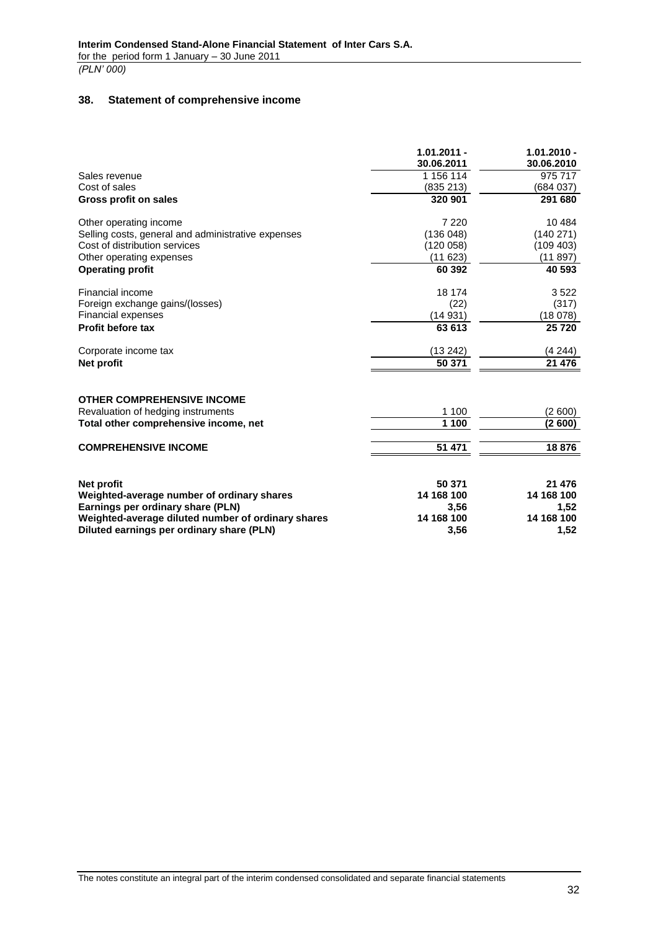### <span id="page-31-0"></span>**38. Statement of comprehensive income**

|                                                                | $1.01.2011 -$<br>30.06.2011 | $1.01.2010 -$<br>30.06.2010 |
|----------------------------------------------------------------|-----------------------------|-----------------------------|
| Sales revenue                                                  | 1 156 114                   | 975 717                     |
| Cost of sales                                                  | (835 213)                   | (684 037)                   |
| <b>Gross profit on sales</b>                                   | 320 901                     | 291 680                     |
| Other operating income                                         | 7 2 2 0                     | 10 4 84                     |
| Selling costs, general and administrative expenses             | (136048)                    | (140271)                    |
| Cost of distribution services                                  | (120058)                    | (109 403)                   |
| Other operating expenses                                       | (11623)                     | (11897)                     |
| <b>Operating profit</b>                                        | 60 392                      | 40 593                      |
| Financial income                                               | 18 174                      | 3522                        |
| Foreign exchange gains/(losses)                                | (22)                        | (317)                       |
| <b>Financial expenses</b>                                      | (14931)                     | (18078)                     |
| <b>Profit before tax</b>                                       | 63 613                      | 25720                       |
| Corporate income tax                                           | (13 242)                    | (4244)                      |
| <b>Net profit</b>                                              | 50 371                      | 21 476                      |
| <b>OTHER COMPREHENSIVE INCOME</b>                              |                             |                             |
| Revaluation of hedging instruments                             | 1 100                       | (2600)                      |
| Total other comprehensive income, net                          | 1 100                       | (2600)                      |
| <b>COMPREHENSIVE INCOME</b>                                    | 51 471                      | 18876                       |
| Net profit                                                     | 50 371                      | 21 476                      |
| Weighted-average number of ordinary shares                     | 14 168 100                  | 14 168 100                  |
| Earnings per ordinary share (PLN)                              | 3,56                        | 1,52                        |
| AAAd badan a dhaceeyaa aan diibanka dhaceeyaha ah ah ah dhacee | .                           | <b>AAAAAAAA</b>             |

**Weighted-average diluted number of ordinary shares 14 168 100 14 168 100 Diluted earnings per ordinary share (PLN) 3,56 1,52**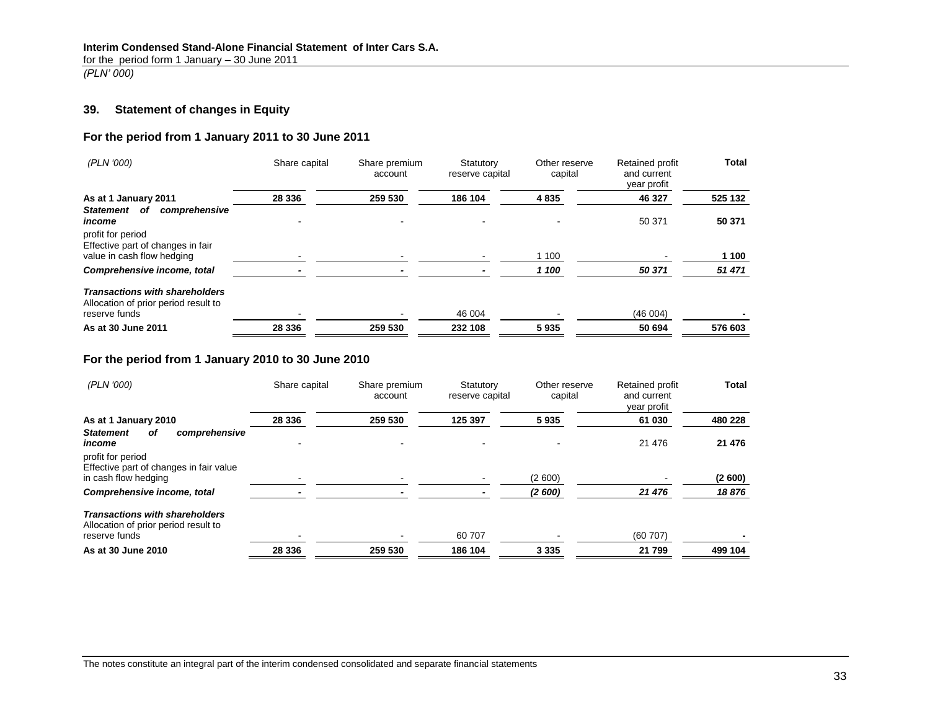for the period form 1 January – 30 June 2011

*(PLN' 000)*

# **39. Statement of changes in Equity**

### **For the period from 1 January 2011 to 30 June 2011**

| (PLN '000)                                                                    | Share capital | Share premium<br>account | Statutory<br>reserve capital | Other reserve<br>capital | Retained profit<br>and current<br>year profit | Total   |
|-------------------------------------------------------------------------------|---------------|--------------------------|------------------------------|--------------------------|-----------------------------------------------|---------|
| As at 1 January 2011                                                          | 28 336        | 259 530                  | 186 104                      | 4835                     | 46 327                                        | 525 132 |
| Statement of<br>comprehensive<br>income<br>profit for period                  |               |                          |                              |                          | 50 371                                        | 50 371  |
| Effective part of changes in fair<br>value in cash flow hedging               |               |                          |                              | 1 100                    |                                               | 1 100   |
| Comprehensive income, total                                                   |               |                          |                              | 1 100                    | 50 371                                        | 51 471  |
| <b>Transactions with shareholders</b><br>Allocation of prior period result to |               |                          |                              |                          |                                               |         |
| reserve funds                                                                 |               |                          | 46 004                       |                          | (46004)                                       |         |
| As at 30 June 2011                                                            | 28 336        | 259 530                  | 232 108                      | 5935                     | 50 694                                        | 576 603 |

# **For the period from 1 January 2010 to 30 June 2010**

<span id="page-32-0"></span>

| (PLN '000)                                                                           | Share capital | Share premium<br>account | Statutory<br>reserve capital | Other reserve<br>capital | <b>Retained profit</b><br>and current<br>year profit | <b>Total</b> |
|--------------------------------------------------------------------------------------|---------------|--------------------------|------------------------------|--------------------------|------------------------------------------------------|--------------|
| As at 1 January 2010                                                                 | 28 336        | 259 530                  | 125 397                      | 5935                     | 61 030                                               | 480 228      |
| <b>Statement</b><br>comprehensive<br>οf<br>income                                    |               |                          |                              |                          | 21 476                                               | 21 476       |
| profit for period<br>Effective part of changes in fair value<br>in cash flow hedging |               |                          |                              | (2600)                   |                                                      | (2600)       |
| Comprehensive income, total                                                          |               |                          |                              | (2600)                   | 21 476                                               | 18876        |
| <b>Transactions with shareholders</b><br>Allocation of prior period result to        |               |                          |                              |                          |                                                      |              |
| reserve funds                                                                        |               |                          | 60 707                       |                          | (60707)                                              |              |
| As at 30 June 2010                                                                   | 28 336        | 259 530                  | 186 104                      | 3 3 3 5                  | 21 799                                               | 499 104      |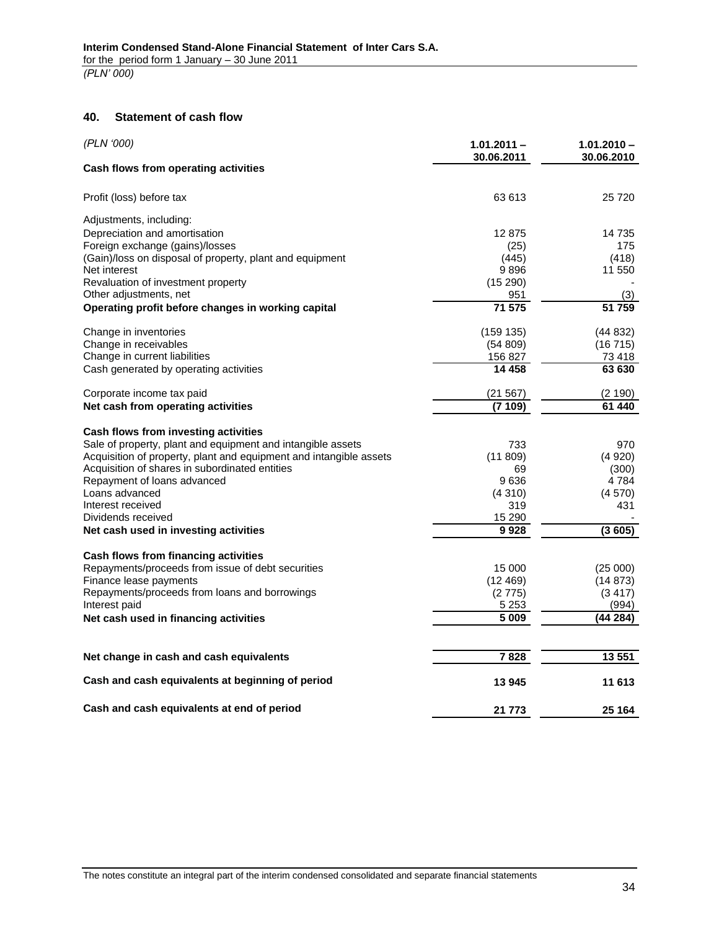### **40. Statement of cash flow**

<span id="page-33-0"></span>

| (PLN '000)                                                         | $1.01.2011 -$<br>30.06.2011 | $1.01.2010 -$<br>30.06.2010 |
|--------------------------------------------------------------------|-----------------------------|-----------------------------|
| Cash flows from operating activities                               |                             |                             |
| Profit (loss) before tax                                           | 63 613                      | 25 7 20                     |
| Adjustments, including:                                            |                             |                             |
| Depreciation and amortisation                                      | 12875                       | 14 735                      |
| Foreign exchange (gains)/losses                                    | (25)                        | 175                         |
| (Gain)/loss on disposal of property, plant and equipment           | (445)                       | (418)                       |
| Net interest                                                       | 9896                        | 11 550                      |
| Revaluation of investment property                                 | (15290)                     |                             |
| Other adjustments, net                                             | 951                         | (3)                         |
| Operating profit before changes in working capital                 | 71 575                      | 51 759                      |
| Change in inventories                                              | (159 135)                   | (44832)                     |
| Change in receivables                                              | (54 809)                    | (16715)                     |
| Change in current liabilities                                      | 156 827                     | 73 418                      |
| Cash generated by operating activities                             | 14 458                      | 63 630                      |
| Corporate income tax paid                                          | (21 567)                    | (2 190)                     |
| Net cash from operating activities                                 | (7 109)                     | 61 440                      |
| Cash flows from investing activities                               |                             |                             |
| Sale of property, plant and equipment and intangible assets        | 733                         | 970                         |
| Acquisition of property, plant and equipment and intangible assets | (11809)                     | (4920)                      |
| Acquisition of shares in subordinated entities                     | 69                          | (300)                       |
| Repayment of loans advanced                                        | 9636                        | 4784                        |
| Loans advanced                                                     | (4310)                      | (4570)                      |
| Interest received                                                  | 319                         | 431                         |
| Dividends received                                                 | 15 290                      |                             |
| Net cash used in investing activities                              | 9928                        | (3605)                      |
| Cash flows from financing activities                               |                             |                             |
| Repayments/proceeds from issue of debt securities                  | 15 000                      | (25000)                     |
| Finance lease payments                                             | (12469)                     | (14873)                     |
| Repayments/proceeds from loans and borrowings                      | (2775)                      | (3417)                      |
| Interest paid                                                      | 5 2 5 3                     | (994)                       |
| Net cash used in financing activities                              | 5 0 0 9                     | (44 284)                    |
|                                                                    |                             |                             |
| Net change in cash and cash equivalents                            | 7828                        | 13 551                      |
| Cash and cash equivalents at beginning of period                   | 13 945                      | 11 613                      |
| Cash and cash equivalents at end of period                         | 21 773                      | 25 164                      |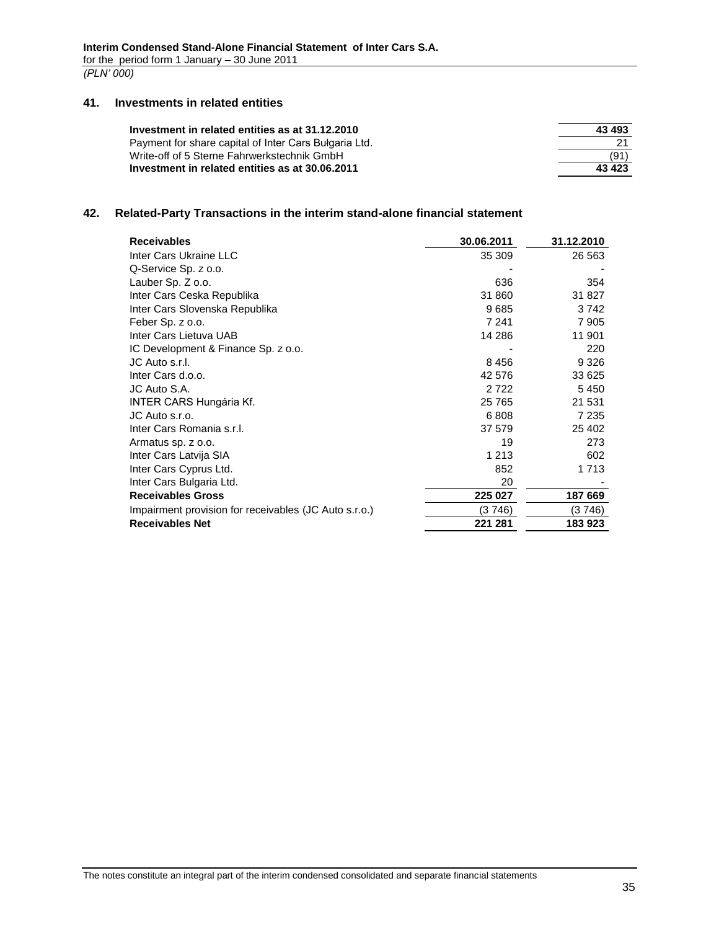#### **41. Investments in related entities**

| 43 493  |
|---------|
|         |
| (91)    |
| 43 4 23 |
|         |

# <span id="page-34-1"></span><span id="page-34-0"></span>**42. Related-Party Transactions in the interim stand-alone financial statement**

| <b>Receivables</b>                                    | 30.06.2011 | 31.12.2010 |
|-------------------------------------------------------|------------|------------|
| Inter Cars Ukraine LLC                                | 35 309     | 26 5 63    |
| Q-Service Sp. z o.o.                                  |            |            |
| Lauber Sp. Z o.o.                                     | 636        | 354        |
| Inter Cars Ceska Republika                            | 31 860     | 31 827     |
| Inter Cars Slovenska Republika                        | 9685       | 3742       |
| Feber Sp. z o.o.                                      | 7 241      | 7 905      |
| Inter Cars Lietuva UAB                                | 14 286     | 11 901     |
| IC Development & Finance Sp. z o.o.                   |            | 220        |
| JC Auto s.r.l.                                        | 8456       | 9 3 2 6    |
| Inter Cars d.o.o.                                     | 42 576     | 33 625     |
| JC Auto S.A.                                          | 2 7 2 2    | 5450       |
| <b>INTER CARS Hungária Kf.</b>                        | 25 7 65    | 21 531     |
| JC Auto s.r.o.                                        | 6808       | 7 235      |
| Inter Cars Romania s.r.l.                             | 37 579     | 25 402     |
| Armatus sp. z o.o.                                    | 19         | 273        |
| Inter Cars Latvija SIA                                | 1 2 1 3    | 602        |
| Inter Cars Cyprus Ltd.                                | 852        | 1 7 1 3    |
| Inter Cars Bulgaria Ltd.                              | 20         |            |
| <b>Receivables Gross</b>                              | 225 027    | 187 669    |
| Impairment provision for receivables (JC Auto s.r.o.) | (3746)     | (3 746)    |
| <b>Receivables Net</b>                                | 221 281    | 183923     |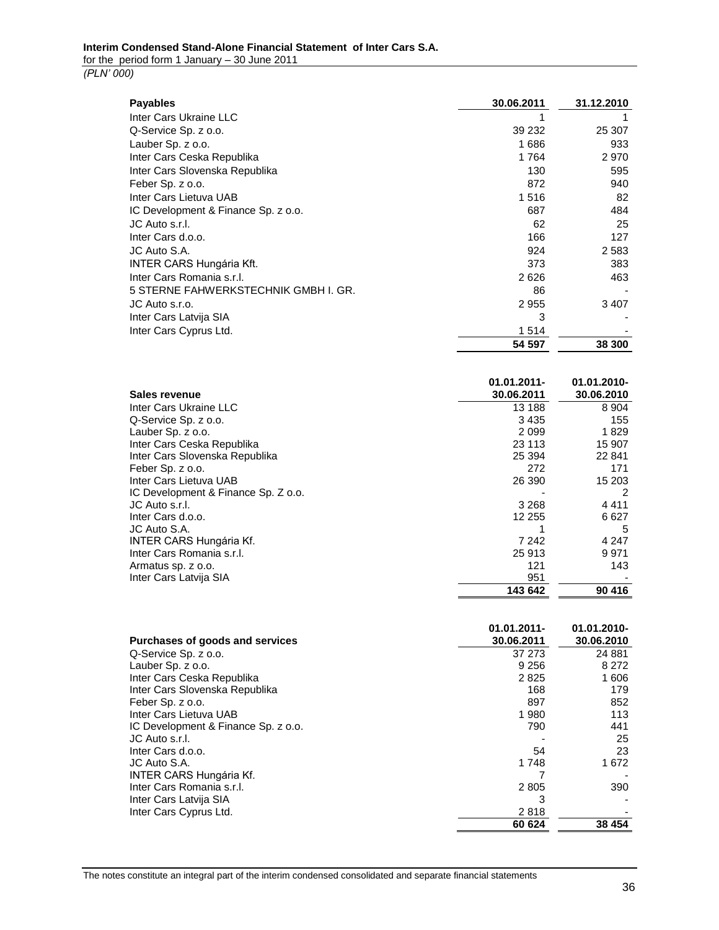*(PLN' 000)*

| <b>Payables</b>                      | 30.06.2011 | 31.12.2010 |
|--------------------------------------|------------|------------|
| Inter Cars Ukraine LLC               |            |            |
| Q-Service Sp. z o.o.                 | 39 232     | 25 307     |
| Lauber Sp. z o.o.                    | 1686       | 933        |
| Inter Cars Ceska Republika           | 1764       | 2970       |
| Inter Cars Slovenska Republika       | 130        | 595        |
| Feber Sp. z o.o.                     | 872        | 940        |
| Inter Cars Lietuva UAB               | 1516       | 82         |
| IC Development & Finance Sp. z o.o.  | 687        | 484        |
| JC Auto s.r.l.                       | 62         | 25         |
| Inter Cars d.o.o.                    | 166        | 127        |
| JC Auto S.A.                         | 924        | 2 5 8 3    |
| <b>INTER CARS Hungária Kft.</b>      | 373        | 383        |
| Inter Cars Romania s.r.l.            | 2626       | 463        |
| 5 STERNE FAHWERKSTECHNIK GMBH I. GR. | 86         |            |
| JC Auto s.r.o.                       | 2955       | 3 4 0 7    |
| Inter Cars Latvija SIA               | 3          |            |
| Inter Cars Cyprus Ltd.               | 1514       |            |
|                                      | 54 597     | 38 300     |

| Sales revenue                       | $01.01.2011 -$<br>30.06.2011 | 01.01.2010-<br>30.06.2010 |
|-------------------------------------|------------------------------|---------------------------|
| Inter Cars Ukraine LLC              | 13 188                       | 8 9 0 4                   |
| Q-Service Sp. z o.o.                | 3435                         | 155                       |
| Lauber Sp. z o.o.                   | 2099                         | 1829                      |
| Inter Cars Ceska Republika          | 23 113                       | 15 907                    |
| Inter Cars Slovenska Republika      | 25 3 94                      | 22 841                    |
| Feber Sp. z o.o.                    | 272                          | 171                       |
| Inter Cars Lietuva UAB              | 26 390                       | 15 203                    |
| IC Development & Finance Sp. Z o.o. |                              | 2                         |
| JC Auto s.r.l.                      | 3 2 6 8                      | 4411                      |
| Inter Cars d.o.o.                   | 12 255                       | 6627                      |
| JC Auto S.A.                        |                              | 5                         |
| <b>INTER CARS Hungária Kf.</b>      | 7 242                        | 4 2 4 7                   |
| Inter Cars Romania s.r.l.           | 25 913                       | 9 9 7 1                   |
| Armatus sp. z o.o.                  | 121                          | 143                       |
| Inter Cars Latvija SIA              | 951                          |                           |
|                                     | 143 642                      | 90 416                    |

|                                     | 01.01.2011- | 01.01.2010- |
|-------------------------------------|-------------|-------------|
| Purchases of goods and services     | 30.06.2011  | 30.06.2010  |
| Q-Service Sp. z o.o.                | 37 273      | 24 881      |
| Lauber Sp. z o.o.                   | 9 2 5 6     | 8 2 7 2     |
| Inter Cars Ceska Republika          | 2825        | 1 606       |
| Inter Cars Slovenska Republika      | 168         | 179         |
| Feber Sp. z o.o.                    | 897         | 852         |
| Inter Cars Lietuva UAB              | 1980        | 113         |
| IC Development & Finance Sp. z o.o. | 790         | 441         |
| JC Auto s.r.l.                      |             | 25          |
| Inter Cars d.o.o.                   | 54          | 23          |
| JC Auto S.A.                        | 1748        | 1672        |
| INTER CARS Hungária Kf.             |             |             |
| Inter Cars Romania s.r.l.           | 2805        | 390         |
| Inter Cars Latvija SIA              | 3           |             |
| Inter Cars Cyprus Ltd.              | 2818        |             |
|                                     | 60 624      | 38 454      |